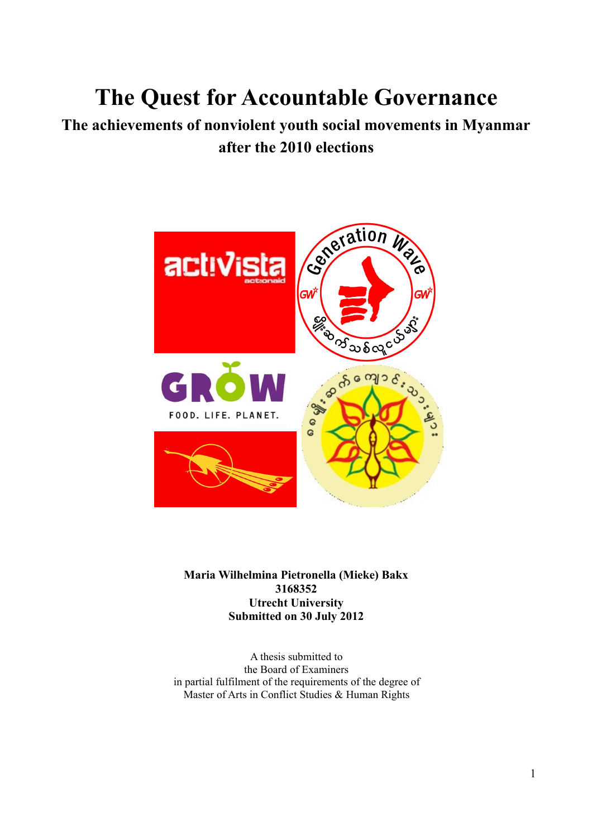# **The Quest for Accountable Governance**

# **The achievements of nonviolent youth social movements in Myanmar after the 2010 elections**



**Maria Wilhelmina Pietronella (Mieke) Bakx 3168352 Utrecht University Submitted on 30 July 2012**

A thesis submitted to the Board of Examiners in partial fulfilment of the requirements of the degree of Master of Arts in Conflict Studies & Human Rights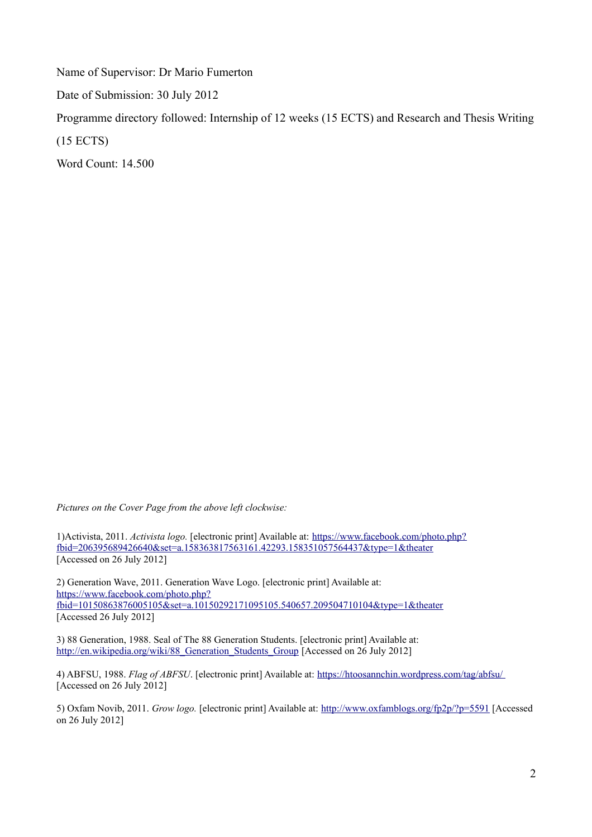Name of Supervisor: Dr Mario Fumerton

Date of Submission: 30 July 2012

Programme directory followed: Internship of 12 weeks (15 ECTS) and Research and Thesis Writing

(15 ECTS)

Word Count: 14.500

*Pictures on the Cover Page from the above left clockwise:*

1)Activista, 2011. *Activista logo.* [electronic print] Available at: [https://www.facebook.com/photo.php?](https://www.facebook.com/photo.php?fbid=206395689426640&set=a.158363817563161.42293.158351057564437&type=1&theater) [fbid=206395689426640&set=a.158363817563161.42293.158351057564437&type=1&theater](https://www.facebook.com/photo.php?fbid=206395689426640&set=a.158363817563161.42293.158351057564437&type=1&theater) [Accessed on 26 July 2012]

2) Generation Wave, 2011. Generation Wave Logo. [electronic print] Available at: [https://www.facebook.com/photo.php?](https://www.facebook.com/photo.php?fbid=10150863876005105&set=a.10150292171095105.540657.209504710104&type=1&theater) [fbid=10150863876005105&set=a.10150292171095105.540657.209504710104&type=1&theater](https://www.facebook.com/photo.php?fbid=10150863876005105&set=a.10150292171095105.540657.209504710104&type=1&theater) [Accessed 26 July 2012]

3) 88 Generation, 1988. Seal of The 88 Generation Students. [electronic print] Available at: http://en.wikipedia.org/wiki/88 Generation Students Group [Accessed on 26 July 2012]

4) ABFSU, 1988. *Flag of ABFSU*. [electronic print] Available at:<https://htoosannchin.wordpress.com/tag/abfsu/> [Accessed on 26 July 2012]

5) Oxfam Novib, 2011. *Grow logo.* [electronic print] Available at:<http://www.oxfamblogs.org/fp2p/?p=5591>[Accessed on 26 July 2012]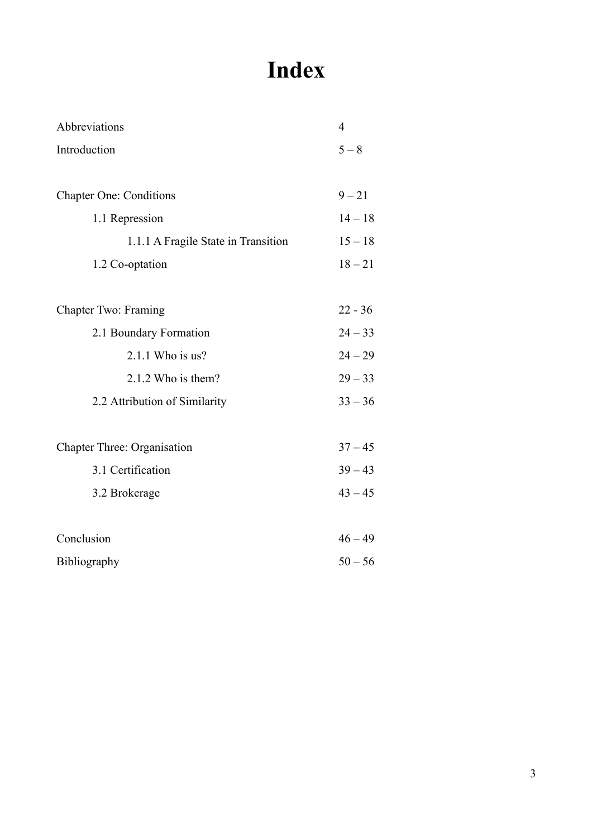# **Index**

| Abbreviations                       | $\overline{4}$ |
|-------------------------------------|----------------|
| Introduction                        | $5 - 8$        |
|                                     |                |
| <b>Chapter One: Conditions</b>      | $9 - 21$       |
| 1.1 Repression                      | $14 - 18$      |
| 1.1.1 A Fragile State in Transition | $15 - 18$      |
| 1.2 Co-optation                     | $18 - 21$      |
|                                     |                |
| <b>Chapter Two: Framing</b>         | $22 - 36$      |
| 2.1 Boundary Formation              | $24 - 33$      |
| 2.1.1 Who is us?                    | $24 - 29$      |
| $2.1.2$ Who is them?                | $29 - 33$      |
| 2.2 Attribution of Similarity       | $33 - 36$      |
|                                     |                |
| <b>Chapter Three: Organisation</b>  | $37 - 45$      |
| 3.1 Certification                   | $39 - 43$      |
| 3.2 Brokerage                       | $43 - 45$      |
|                                     |                |
| Conclusion                          | $46 - 49$      |
| Bibliography                        | $50 - 56$      |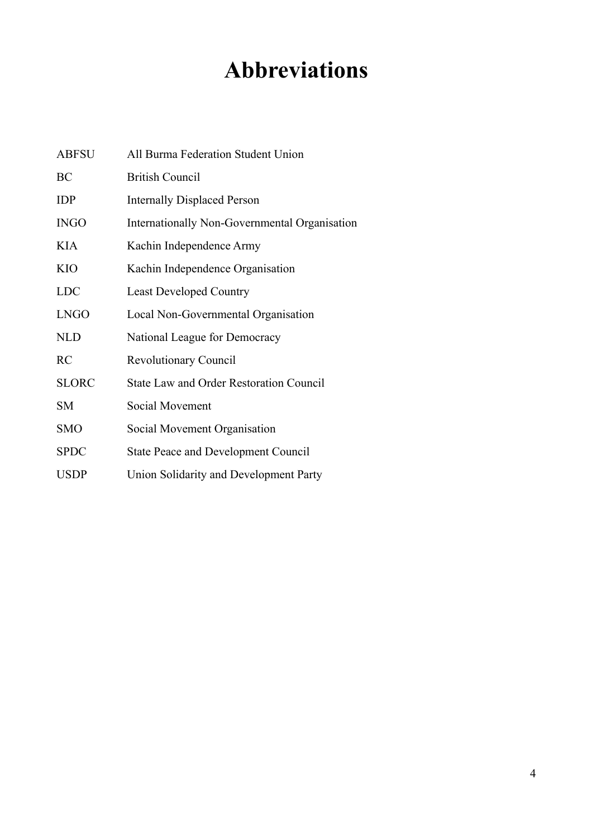# **Abbreviations**

| <b>ABFSU</b> | All Burma Federation Student Union             |
|--------------|------------------------------------------------|
| BC           | <b>British Council</b>                         |
| <b>IDP</b>   | <b>Internally Displaced Person</b>             |
| <b>INGO</b>  | Internationally Non-Governmental Organisation  |
| <b>KIA</b>   | Kachin Independence Army                       |
| <b>KIO</b>   | Kachin Independence Organisation               |
| <b>LDC</b>   | <b>Least Developed Country</b>                 |
| <b>LNGO</b>  | Local Non-Governmental Organisation            |
| <b>NLD</b>   | National League for Democracy                  |
| <b>RC</b>    | <b>Revolutionary Council</b>                   |
| <b>SLORC</b> | <b>State Law and Order Restoration Council</b> |
| <b>SM</b>    | Social Movement                                |
| <b>SMO</b>   | Social Movement Organisation                   |
| <b>SPDC</b>  | <b>State Peace and Development Council</b>     |
| <b>USDP</b>  | Union Solidarity and Development Party         |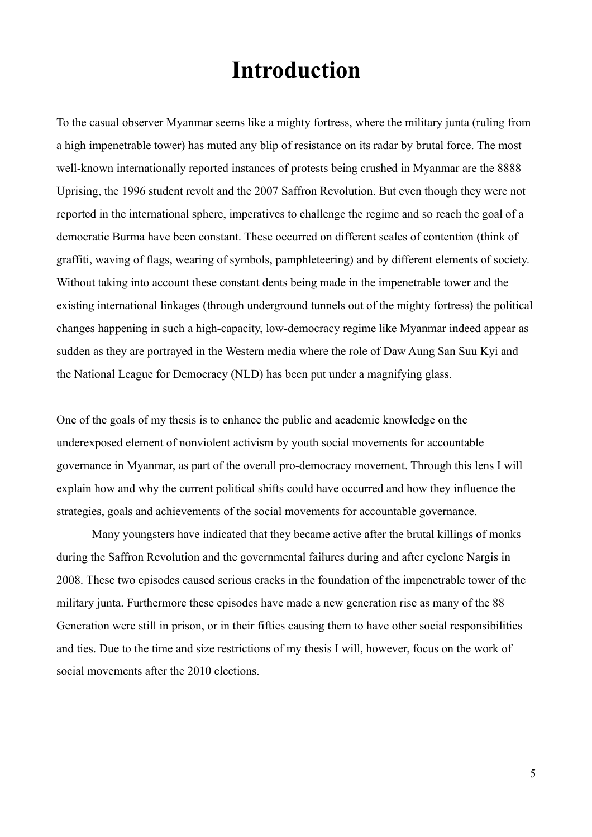# **Introduction**

To the casual observer Myanmar seems like a mighty fortress, where the military junta (ruling from a high impenetrable tower) has muted any blip of resistance on its radar by brutal force. The most well-known internationally reported instances of protests being crushed in Myanmar are the 8888 Uprising, the 1996 student revolt and the 2007 Saffron Revolution. But even though they were not reported in the international sphere, imperatives to challenge the regime and so reach the goal of a democratic Burma have been constant. These occurred on different scales of contention (think of graffiti, waving of flags, wearing of symbols, pamphleteering) and by different elements of society. Without taking into account these constant dents being made in the impenetrable tower and the existing international linkages (through underground tunnels out of the mighty fortress) the political changes happening in such a high-capacity, low-democracy regime like Myanmar indeed appear as sudden as they are portrayed in the Western media where the role of Daw Aung San Suu Kyi and the National League for Democracy (NLD) has been put under a magnifying glass.

One of the goals of my thesis is to enhance the public and academic knowledge on the underexposed element of nonviolent activism by youth social movements for accountable governance in Myanmar, as part of the overall pro-democracy movement. Through this lens I will explain how and why the current political shifts could have occurred and how they influence the strategies, goals and achievements of the social movements for accountable governance.

Many youngsters have indicated that they became active after the brutal killings of monks during the Saffron Revolution and the governmental failures during and after cyclone Nargis in 2008. These two episodes caused serious cracks in the foundation of the impenetrable tower of the military junta. Furthermore these episodes have made a new generation rise as many of the 88 Generation were still in prison, or in their fifties causing them to have other social responsibilities and ties. Due to the time and size restrictions of my thesis I will, however, focus on the work of social movements after the 2010 elections.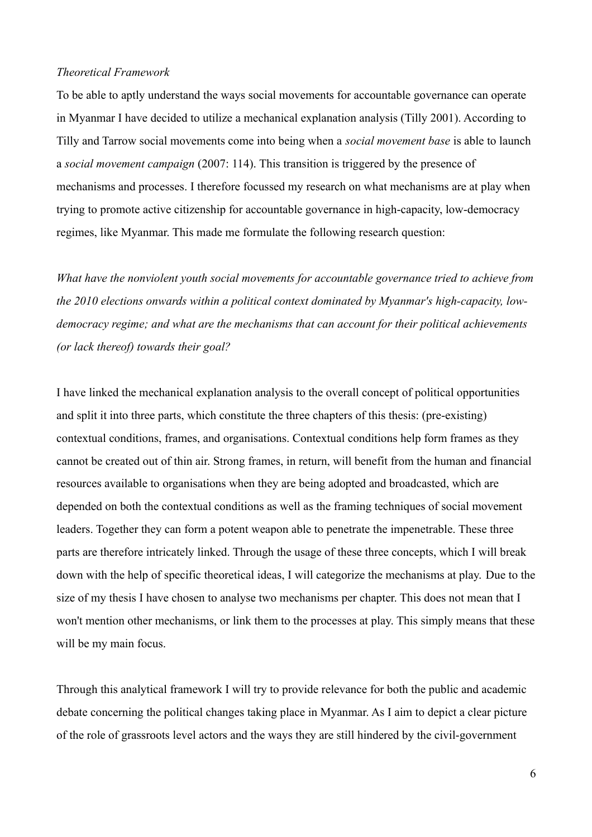#### *Theoretical Framework*

To be able to aptly understand the ways social movements for accountable governance can operate in Myanmar I have decided to utilize a mechanical explanation analysis (Tilly 2001). According to Tilly and Tarrow social movements come into being when a *social movement base* is able to launch a *social movement campaign* (2007: 114). This transition is triggered by the presence of mechanisms and processes. I therefore focussed my research on what mechanisms are at play when trying to promote active citizenship for accountable governance in high-capacity, low-democracy regimes, like Myanmar. This made me formulate the following research question:

*What have the nonviolent youth social movements for accountable governance tried to achieve from the 2010 elections onwards within a political context dominated by Myanmar's high-capacity, lowdemocracy regime; and what are the mechanisms that can account for their political achievements (or lack thereof) towards their goal?*

I have linked the mechanical explanation analysis to the overall concept of political opportunities and split it into three parts, which constitute the three chapters of this thesis: (pre-existing) contextual conditions, frames, and organisations. Contextual conditions help form frames as they cannot be created out of thin air. Strong frames, in return, will benefit from the human and financial resources available to organisations when they are being adopted and broadcasted, which are depended on both the contextual conditions as well as the framing techniques of social movement leaders. Together they can form a potent weapon able to penetrate the impenetrable. These three parts are therefore intricately linked. Through the usage of these three concepts, which I will break down with the help of specific theoretical ideas, I will categorize the mechanisms at play. Due to the size of my thesis I have chosen to analyse two mechanisms per chapter. This does not mean that I won't mention other mechanisms, or link them to the processes at play. This simply means that these will be my main focus.

Through this analytical framework I will try to provide relevance for both the public and academic debate concerning the political changes taking place in Myanmar. As I aim to depict a clear picture of the role of grassroots level actors and the ways they are still hindered by the civil-government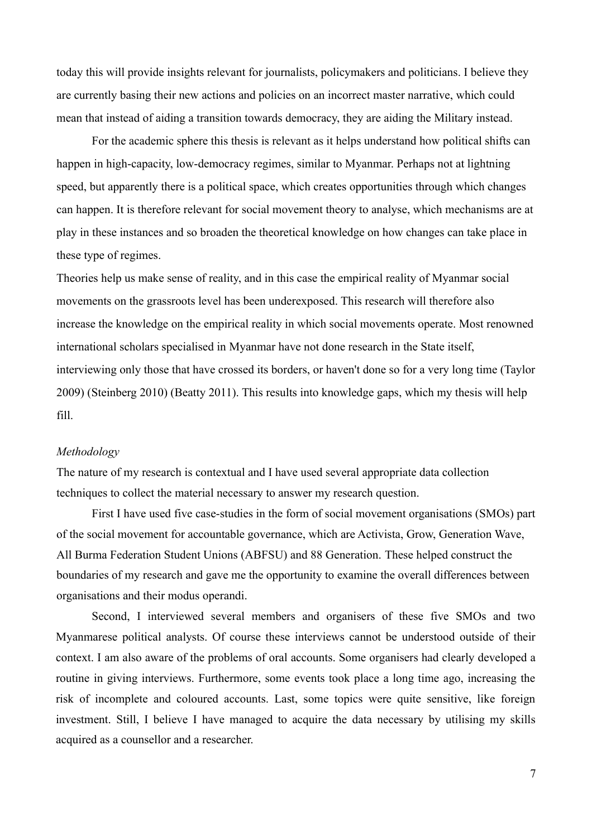today this will provide insights relevant for journalists, policymakers and politicians. I believe they are currently basing their new actions and policies on an incorrect master narrative, which could mean that instead of aiding a transition towards democracy, they are aiding the Military instead.

For the academic sphere this thesis is relevant as it helps understand how political shifts can happen in high-capacity, low-democracy regimes, similar to Myanmar. Perhaps not at lightning speed, but apparently there is a political space, which creates opportunities through which changes can happen. It is therefore relevant for social movement theory to analyse, which mechanisms are at play in these instances and so broaden the theoretical knowledge on how changes can take place in these type of regimes.

Theories help us make sense of reality, and in this case the empirical reality of Myanmar social movements on the grassroots level has been underexposed. This research will therefore also increase the knowledge on the empirical reality in which social movements operate. Most renowned international scholars specialised in Myanmar have not done research in the State itself, interviewing only those that have crossed its borders, or haven't done so for a very long time (Taylor 2009) (Steinberg 2010) (Beatty 2011). This results into knowledge gaps, which my thesis will help fill.

#### *Methodology*

The nature of my research is contextual and I have used several appropriate data collection techniques to collect the material necessary to answer my research question.

First I have used five case-studies in the form of social movement organisations (SMOs) part of the social movement for accountable governance, which are Activista, Grow, Generation Wave, All Burma Federation Student Unions (ABFSU) and 88 Generation. These helped construct the boundaries of my research and gave me the opportunity to examine the overall differences between organisations and their modus operandi.

Second, I interviewed several members and organisers of these five SMOs and two Myanmarese political analysts. Of course these interviews cannot be understood outside of their context. I am also aware of the problems of oral accounts. Some organisers had clearly developed a routine in giving interviews. Furthermore, some events took place a long time ago, increasing the risk of incomplete and coloured accounts. Last, some topics were quite sensitive, like foreign investment. Still, I believe I have managed to acquire the data necessary by utilising my skills acquired as a counsellor and a researcher.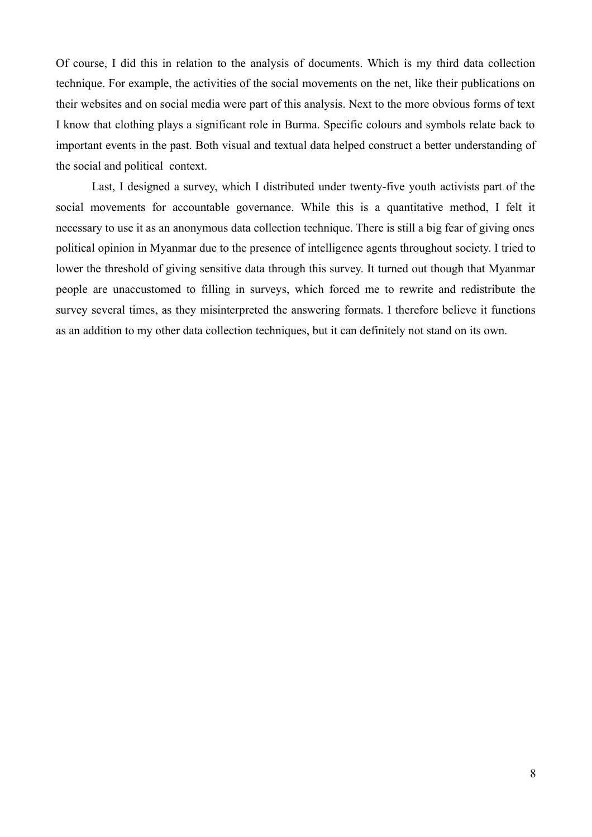Of course, I did this in relation to the analysis of documents. Which is my third data collection technique. For example, the activities of the social movements on the net, like their publications on their websites and on social media were part of this analysis. Next to the more obvious forms of text I know that clothing plays a significant role in Burma. Specific colours and symbols relate back to important events in the past. Both visual and textual data helped construct a better understanding of the social and political context.

Last, I designed a survey, which I distributed under twenty-five youth activists part of the social movements for accountable governance. While this is a quantitative method, I felt it necessary to use it as an anonymous data collection technique. There is still a big fear of giving ones political opinion in Myanmar due to the presence of intelligence agents throughout society. I tried to lower the threshold of giving sensitive data through this survey. It turned out though that Myanmar people are unaccustomed to filling in surveys, which forced me to rewrite and redistribute the survey several times, as they misinterpreted the answering formats. I therefore believe it functions as an addition to my other data collection techniques, but it can definitely not stand on its own.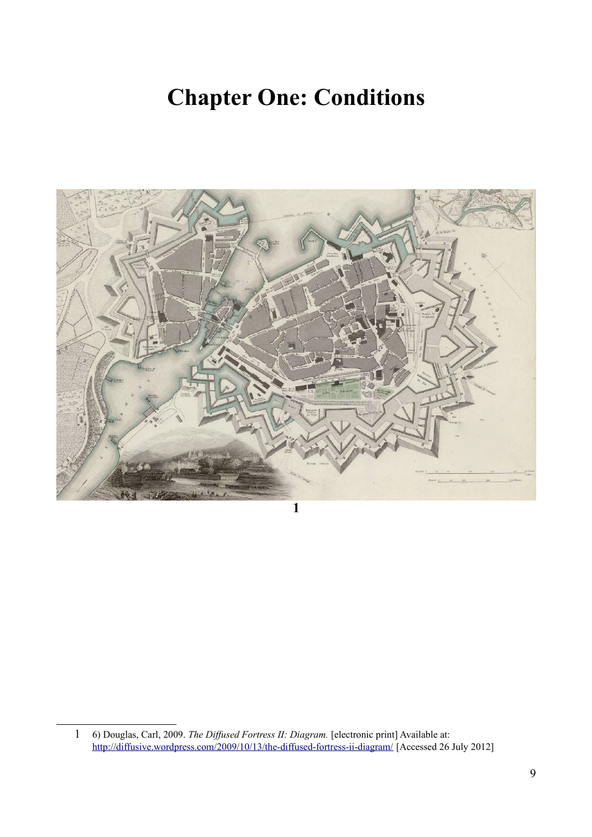# **Chapter One: Conditions**



**[1](#page-8-0)**

<span id="page-8-0"></span><sup>1</sup> 6) Douglas, Carl, 2009. *The Diffused Fortress II: Diagram.* [electronic print] Available at: <http://diffusive.wordpress.com/2009/10/13/the-diffused-fortress-ii-diagram/>[Accessed 26 July 2012]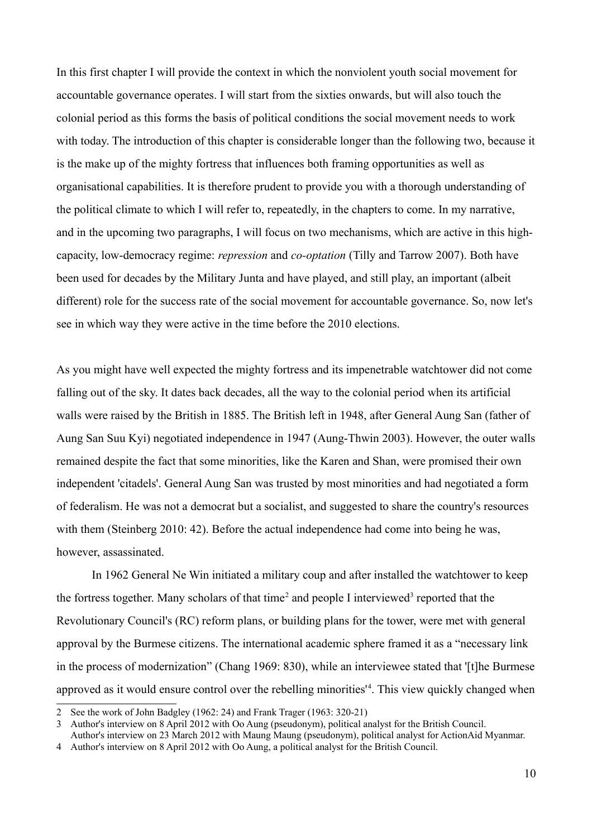In this first chapter I will provide the context in which the nonviolent youth social movement for accountable governance operates. I will start from the sixties onwards, but will also touch the colonial period as this forms the basis of political conditions the social movement needs to work with today. The introduction of this chapter is considerable longer than the following two, because it is the make up of the mighty fortress that influences both framing opportunities as well as organisational capabilities. It is therefore prudent to provide you with a thorough understanding of the political climate to which I will refer to, repeatedly, in the chapters to come. In my narrative, and in the upcoming two paragraphs, I will focus on two mechanisms, which are active in this highcapacity, low-democracy regime: *repression* and *co-optation* (Tilly and Tarrow 2007). Both have been used for decades by the Military Junta and have played, and still play, an important (albeit different) role for the success rate of the social movement for accountable governance. So, now let's see in which way they were active in the time before the 2010 elections.

As you might have well expected the mighty fortress and its impenetrable watchtower did not come falling out of the sky. It dates back decades, all the way to the colonial period when its artificial walls were raised by the British in 1885. The British left in 1948, after General Aung San (father of Aung San Suu Kyi) negotiated independence in 1947 (Aung-Thwin 2003). However, the outer walls remained despite the fact that some minorities, like the Karen and Shan, were promised their own independent 'citadels'. General Aung San was trusted by most minorities and had negotiated a form of federalism. He was not a democrat but a socialist, and suggested to share the country's resources with them (Steinberg 2010: 42). Before the actual independence had come into being he was, however, assassinated.

In 1962 General Ne Win initiated a military coup and after installed the watchtower to keep the fortress together. Many scholars of that time<sup>[2](#page-9-0)</sup> and people I interviewed<sup>[3](#page-9-1)</sup> reported that the Revolutionary Council's (RC) reform plans, or building plans for the tower, were met with general approval by the Burmese citizens. The international academic sphere framed it as a "necessary link in the process of modernization" (Chang 1969: 830), while an interviewee stated that '[t]he Burmese approved as it would ensure control over the rebelling minorities<sup>1[4](#page-9-2)</sup>. This view quickly changed when

<span id="page-9-0"></span><sup>2</sup> See the work of John Badgley (1962: 24) and Frank Trager (1963: 320-21)

<span id="page-9-1"></span><sup>3</sup> Author's interview on 8 April 2012 with Oo Aung (pseudonym), political analyst for the British Council.

Author's interview on 23 March 2012 with Maung Maung (pseudonym), political analyst for ActionAid Myanmar.

<span id="page-9-2"></span><sup>4</sup> Author's interview on 8 April 2012 with Oo Aung, a political analyst for the British Council.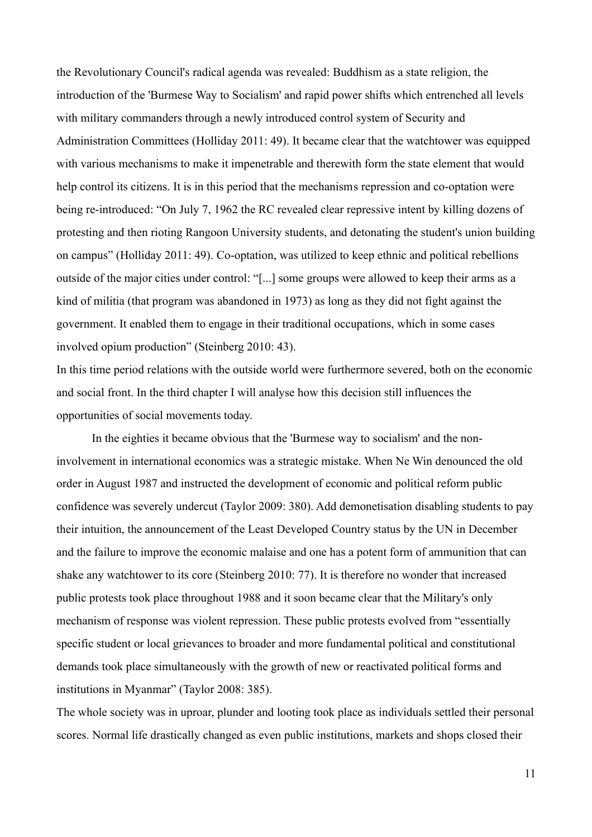the Revolutionary Council's radical agenda was revealed: Buddhism as a state religion, the introduction of the 'Burmese Way to Socialism' and rapid power shifts which entrenched all levels with military commanders through a newly introduced control system of Security and Administration Committees (Holliday 2011: 49). It became clear that the watchtower was equipped with various mechanisms to make it impenetrable and therewith form the state element that would help control its citizens. It is in this period that the mechanisms repression and co-optation were being re-introduced: "On July 7, 1962 the RC revealed clear repressive intent by killing dozens of protesting and then rioting Rangoon University students, and detonating the student's union building on campus" (Holliday 2011: 49). Co-optation, was utilized to keep ethnic and political rebellions outside of the major cities under control: "[...] some groups were allowed to keep their arms as a kind of militia (that program was abandoned in 1973) as long as they did not fight against the government. It enabled them to engage in their traditional occupations, which in some cases involved opium production" (Steinberg 2010: 43).

In this time period relations with the outside world were furthermore severed, both on the economic and social front. In the third chapter I will analyse how this decision still influences the opportunities of social movements today.

In the eighties it became obvious that the 'Burmese way to socialism' and the noninvolvement in international economics was a strategic mistake. When Ne Win denounced the old order in August 1987 and instructed the development of economic and political reform public confidence was severely undercut (Taylor 2009: 380). Add demonetisation disabling students to pay their intuition, the announcement of the Least Developed Country status by the UN in December and the failure to improve the economic malaise and one has a potent form of ammunition that can shake any watchtower to its core (Steinberg 2010: 77). It is therefore no wonder that increased public protests took place throughout 1988 and it soon became clear that the Military's only mechanism of response was violent repression. These public protests evolved from "essentially specific student or local grievances to broader and more fundamental political and constitutional demands took place simultaneously with the growth of new or reactivated political forms and institutions in Myanmar" (Taylor 2008: 385).

The whole society was in uproar, plunder and looting took place as individuals settled their personal scores. Normal life drastically changed as even public institutions, markets and shops closed their

11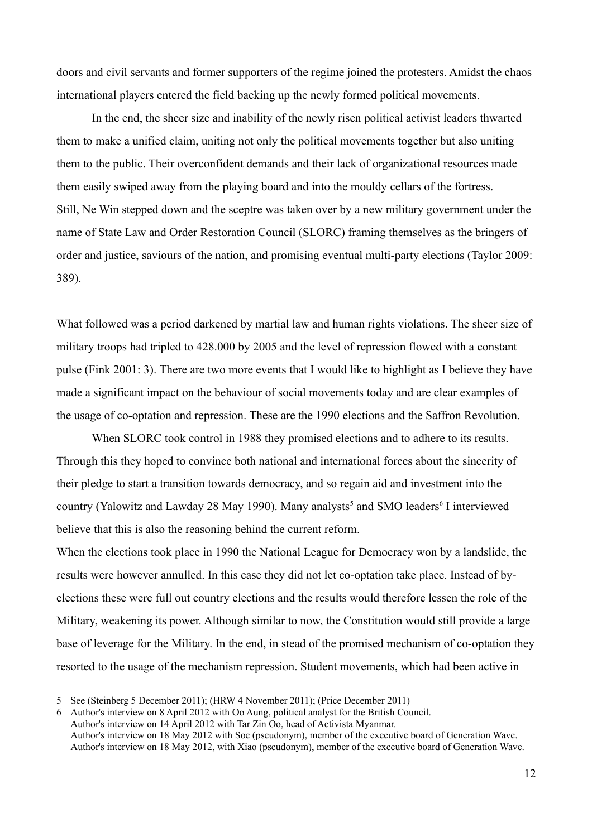doors and civil servants and former supporters of the regime joined the protesters. Amidst the chaos international players entered the field backing up the newly formed political movements.

In the end, the sheer size and inability of the newly risen political activist leaders thwarted them to make a unified claim, uniting not only the political movements together but also uniting them to the public. Their overconfident demands and their lack of organizational resources made them easily swiped away from the playing board and into the mouldy cellars of the fortress. Still, Ne Win stepped down and the sceptre was taken over by a new military government under the name of State Law and Order Restoration Council (SLORC) framing themselves as the bringers of order and justice, saviours of the nation, and promising eventual multi-party elections (Taylor 2009: 389).

What followed was a period darkened by martial law and human rights violations. The sheer size of military troops had tripled to 428.000 by 2005 and the level of repression flowed with a constant pulse (Fink 2001: 3). There are two more events that I would like to highlight as I believe they have made a significant impact on the behaviour of social movements today and are clear examples of the usage of co-optation and repression. These are the 1990 elections and the Saffron Revolution.

When SLORC took control in 1988 they promised elections and to adhere to its results. Through this they hoped to convince both national and international forces about the sincerity of their pledge to start a transition towards democracy, and so regain aid and investment into the country (Yalowitz and Lawday 28 May 1990). Many analysts<sup>[5](#page-11-0)</sup> and SMO leaders<sup>[6](#page-11-1)</sup> I interviewed believe that this is also the reasoning behind the current reform.

When the elections took place in 1990 the National League for Democracy won by a landslide, the results were however annulled. In this case they did not let co-optation take place. Instead of byelections these were full out country elections and the results would therefore lessen the role of the Military, weakening its power. Although similar to now, the Constitution would still provide a large base of leverage for the Military. In the end, in stead of the promised mechanism of co-optation they resorted to the usage of the mechanism repression. Student movements, which had been active in

<span id="page-11-0"></span><sup>5</sup> See (Steinberg 5 December 2011); (HRW 4 November 2011); (Price December 2011)

<span id="page-11-1"></span><sup>6</sup> Author's interview on 8 April 2012 with Oo Aung, political analyst for the British Council.

Author's interview on 14 April 2012 with Tar Zin Oo, head of Activista Myanmar. Author's interview on 18 May 2012 with Soe (pseudonym), member of the executive board of Generation Wave. Author's interview on 18 May 2012, with Xiao (pseudonym), member of the executive board of Generation Wave.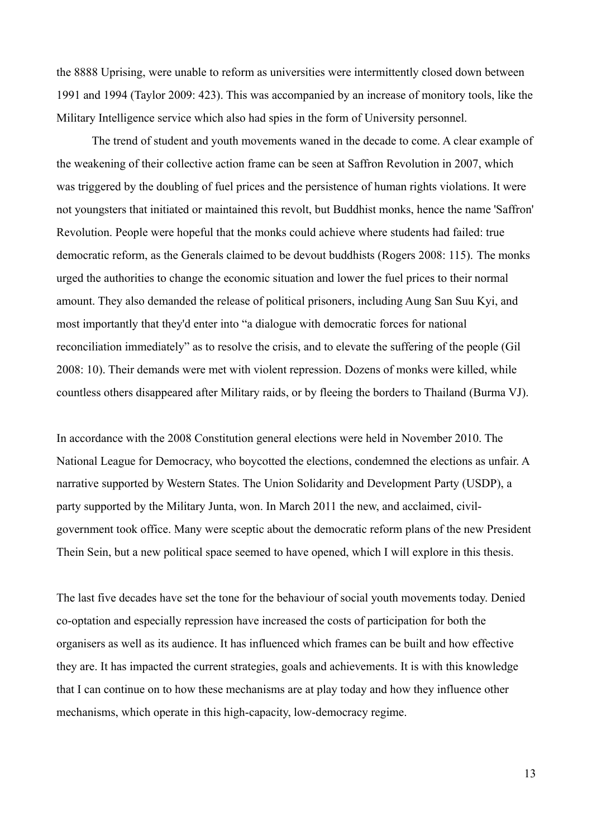the 8888 Uprising, were unable to reform as universities were intermittently closed down between 1991 and 1994 (Taylor 2009: 423). This was accompanied by an increase of monitory tools, like the Military Intelligence service which also had spies in the form of University personnel.

The trend of student and youth movements waned in the decade to come. A clear example of the weakening of their collective action frame can be seen at Saffron Revolution in 2007, which was triggered by the doubling of fuel prices and the persistence of human rights violations. It were not youngsters that initiated or maintained this revolt, but Buddhist monks, hence the name 'Saffron' Revolution. People were hopeful that the monks could achieve where students had failed: true democratic reform, as the Generals claimed to be devout buddhists (Rogers 2008: 115). The monks urged the authorities to change the economic situation and lower the fuel prices to their normal amount. They also demanded the release of political prisoners, including Aung San Suu Kyi, and most importantly that they'd enter into "a dialogue with democratic forces for national reconciliation immediately" as to resolve the crisis, and to elevate the suffering of the people (Gil 2008: 10). Their demands were met with violent repression. Dozens of monks were killed, while countless others disappeared after Military raids, or by fleeing the borders to Thailand (Burma VJ).

In accordance with the 2008 Constitution general elections were held in November 2010. The National League for Democracy, who boycotted the elections, condemned the elections as unfair. A narrative supported by Western States. The Union Solidarity and Development Party (USDP), a party supported by the Military Junta, won. In March 2011 the new, and acclaimed, civilgovernment took office. Many were sceptic about the democratic reform plans of the new President Thein Sein, but a new political space seemed to have opened, which I will explore in this thesis.

The last five decades have set the tone for the behaviour of social youth movements today. Denied co-optation and especially repression have increased the costs of participation for both the organisers as well as its audience. It has influenced which frames can be built and how effective they are. It has impacted the current strategies, goals and achievements. It is with this knowledge that I can continue on to how these mechanisms are at play today and how they influence other mechanisms, which operate in this high-capacity, low-democracy regime.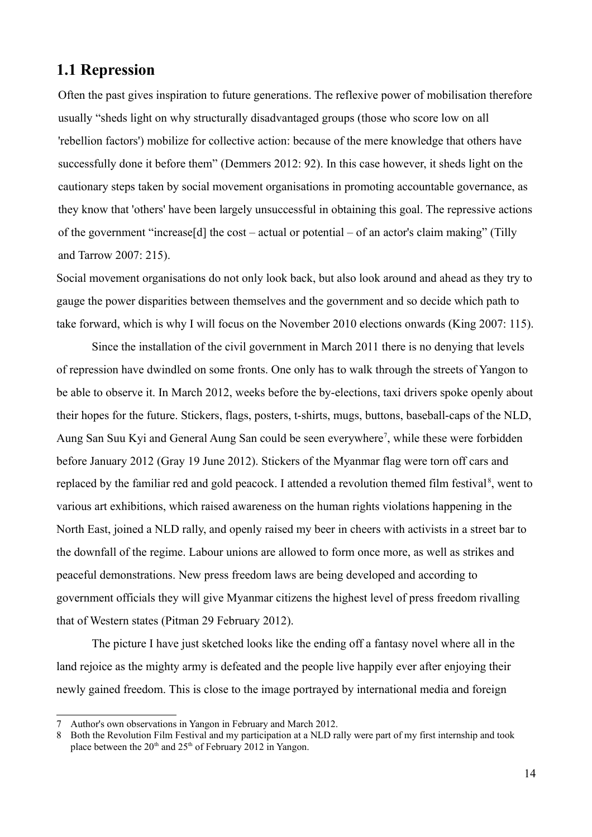### **1.1 Repression**

Often the past gives inspiration to future generations. The reflexive power of mobilisation therefore usually "sheds light on why structurally disadvantaged groups (those who score low on all 'rebellion factors') mobilize for collective action: because of the mere knowledge that others have successfully done it before them" (Demmers 2012: 92). In this case however, it sheds light on the cautionary steps taken by social movement organisations in promoting accountable governance, as they know that 'others' have been largely unsuccessful in obtaining this goal. The repressive actions of the government "increase[d] the cost – actual or potential – of an actor's claim making" (Tilly and Tarrow 2007: 215).

Social movement organisations do not only look back, but also look around and ahead as they try to gauge the power disparities between themselves and the government and so decide which path to take forward, which is why I will focus on the November 2010 elections onwards (King 2007: 115).

Since the installation of the civil government in March 2011 there is no denying that levels of repression have dwindled on some fronts. One only has to walk through the streets of Yangon to be able to observe it. In March 2012, weeks before the by-elections, taxi drivers spoke openly about their hopes for the future. Stickers, flags, posters, t-shirts, mugs, buttons, baseball-caps of the NLD, Aung San Suu Kyi and General Aung San could be seen everywhere<sup>[7](#page-13-0)</sup>, while these were forbidden before January 2012 (Gray 19 June 2012). Stickers of the Myanmar flag were torn off cars and replaced by the familiar red and gold peacock. I attended a revolution themed film festival<sup>[8](#page-13-1)</sup>, went to various art exhibitions, which raised awareness on the human rights violations happening in the North East, joined a NLD rally, and openly raised my beer in cheers with activists in a street bar to the downfall of the regime. Labour unions are allowed to form once more, as well as strikes and peaceful demonstrations. New press freedom laws are being developed and according to government officials they will give Myanmar citizens the highest level of press freedom rivalling that of Western states (Pitman 29 February 2012).

The picture I have just sketched looks like the ending off a fantasy novel where all in the land rejoice as the mighty army is defeated and the people live happily ever after enjoying their newly gained freedom. This is close to the image portrayed by international media and foreign

<span id="page-13-0"></span><sup>7</sup> Author's own observations in Yangon in February and March 2012.

<span id="page-13-1"></span><sup>8</sup> Both the Revolution Film Festival and my participation at a NLD rally were part of my first internship and took place between the  $20<sup>th</sup>$  and  $25<sup>th</sup>$  of February 2012 in Yangon.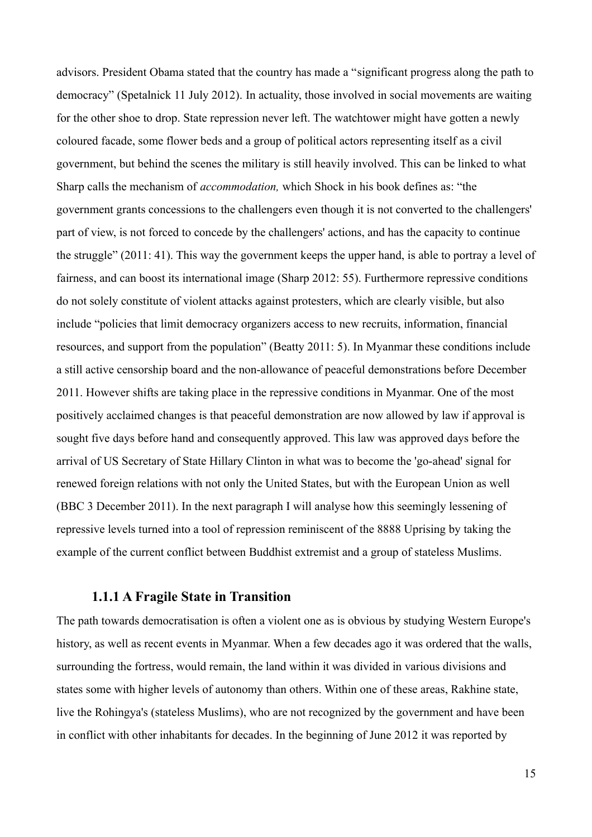advisors. President Obama stated that the country has made a "significant progress along the path to democracy" (Spetalnick 11 July 2012). In actuality, those involved in social movements are waiting for the other shoe to drop. State repression never left. The watchtower might have gotten a newly coloured facade, some flower beds and a group of political actors representing itself as a civil government, but behind the scenes the military is still heavily involved. This can be linked to what Sharp calls the mechanism of *accommodation,* which Shock in his book defines as: "the government grants concessions to the challengers even though it is not converted to the challengers' part of view, is not forced to concede by the challengers' actions, and has the capacity to continue the struggle" (2011: 41). This way the government keeps the upper hand, is able to portray a level of fairness, and can boost its international image (Sharp 2012: 55). Furthermore repressive conditions do not solely constitute of violent attacks against protesters, which are clearly visible, but also include "policies that limit democracy organizers access to new recruits, information, financial resources, and support from the population" (Beatty 2011: 5). In Myanmar these conditions include a still active censorship board and the non-allowance of peaceful demonstrations before December 2011. However shifts are taking place in the repressive conditions in Myanmar. One of the most positively acclaimed changes is that peaceful demonstration are now allowed by law if approval is sought five days before hand and consequently approved. This law was approved days before the arrival of US Secretary of State Hillary Clinton in what was to become the 'go-ahead' signal for renewed foreign relations with not only the United States, but with the European Union as well (BBC 3 December 2011). In the next paragraph I will analyse how this seemingly lessening of repressive levels turned into a tool of repression reminiscent of the 8888 Uprising by taking the example of the current conflict between Buddhist extremist and a group of stateless Muslims.

#### **1.1.1 A Fragile State in Transition**

The path towards democratisation is often a violent one as is obvious by studying Western Europe's history, as well as recent events in Myanmar. When a few decades ago it was ordered that the walls, surrounding the fortress, would remain, the land within it was divided in various divisions and states some with higher levels of autonomy than others. Within one of these areas, Rakhine state, live the Rohingya's (stateless Muslims), who are not recognized by the government and have been in conflict with other inhabitants for decades. In the beginning of June 2012 it was reported by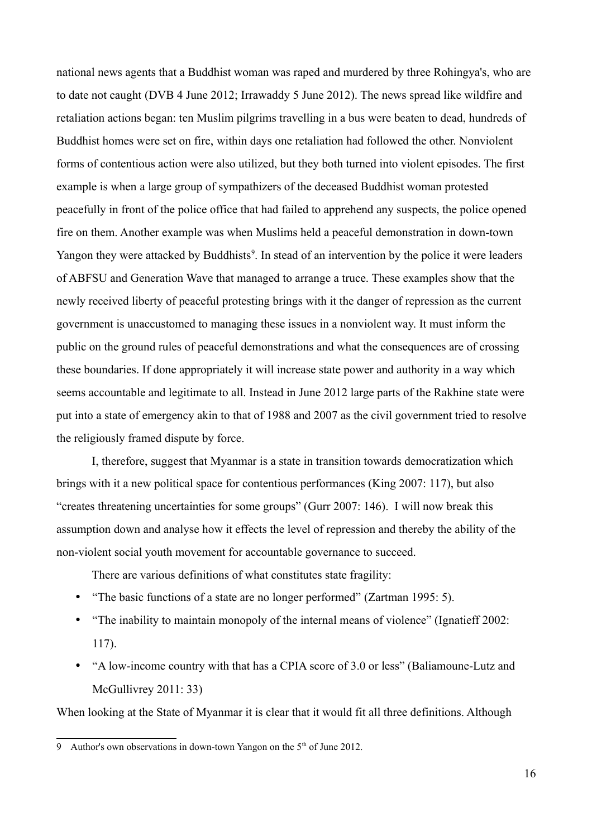national news agents that a Buddhist woman was raped and murdered by three Rohingya's, who are to date not caught (DVB 4 June 2012; Irrawaddy 5 June 2012). The news spread like wildfire and retaliation actions began: ten Muslim pilgrims travelling in a bus were beaten to dead, hundreds of Buddhist homes were set on fire, within days one retaliation had followed the other. Nonviolent forms of contentious action were also utilized, but they both turned into violent episodes. The first example is when a large group of sympathizers of the deceased Buddhist woman protested peacefully in front of the police office that had failed to apprehend any suspects, the police opened fire on them. Another example was when Muslims held a peaceful demonstration in down-town Yangon they were attacked by Buddhists<sup>[9](#page-15-0)</sup>. In stead of an intervention by the police it were leaders of ABFSU and Generation Wave that managed to arrange a truce. These examples show that the newly received liberty of peaceful protesting brings with it the danger of repression as the current government is unaccustomed to managing these issues in a nonviolent way. It must inform the public on the ground rules of peaceful demonstrations and what the consequences are of crossing these boundaries. If done appropriately it will increase state power and authority in a way which seems accountable and legitimate to all. Instead in June 2012 large parts of the Rakhine state were put into a state of emergency akin to that of 1988 and 2007 as the civil government tried to resolve the religiously framed dispute by force.

I, therefore, suggest that Myanmar is a state in transition towards democratization which brings with it a new political space for contentious performances (King 2007: 117), but also "creates threatening uncertainties for some groups" (Gurr 2007: 146). I will now break this assumption down and analyse how it effects the level of repression and thereby the ability of the non-violent social youth movement for accountable governance to succeed.

There are various definitions of what constitutes state fragility:

- "The basic functions of a state are no longer performed" (Zartman 1995: 5).
- "The inability to maintain monopoly of the internal means of violence" (Ignatieff 2002: 117).
- "A low-income country with that has a CPIA score of 3.0 or less" (Baliamoune-Lutz and McGullivrey 2011: 33)

When looking at the State of Myanmar it is clear that it would fit all three definitions. Although

<span id="page-15-0"></span><sup>9</sup> Author's own observations in down-town Yangon on the 5th of June 2012.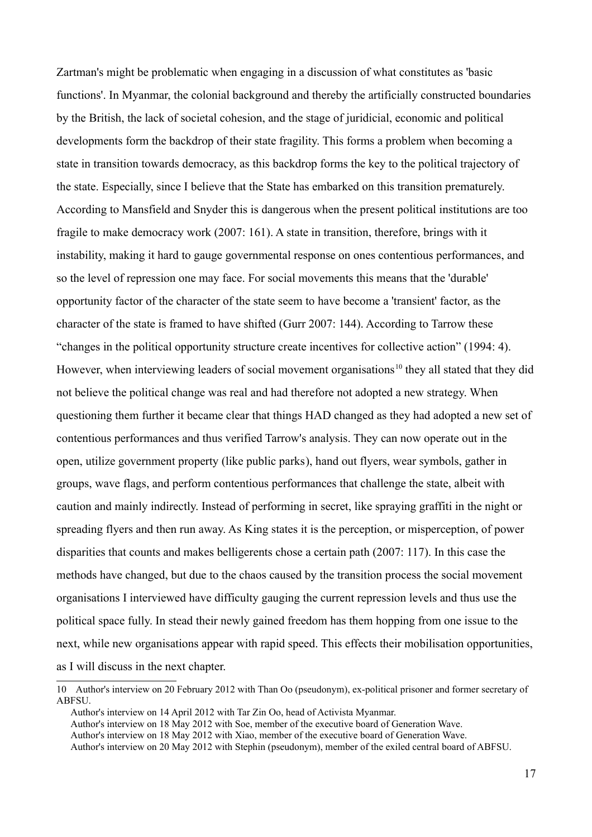Zartman's might be problematic when engaging in a discussion of what constitutes as 'basic functions'. In Myanmar, the colonial background and thereby the artificially constructed boundaries by the British, the lack of societal cohesion, and the stage of juridicial, economic and political developments form the backdrop of their state fragility. This forms a problem when becoming a state in transition towards democracy, as this backdrop forms the key to the political trajectory of the state. Especially, since I believe that the State has embarked on this transition prematurely. According to Mansfield and Snyder this is dangerous when the present political institutions are too fragile to make democracy work (2007: 161). A state in transition, therefore, brings with it instability, making it hard to gauge governmental response on ones contentious performances, and so the level of repression one may face. For social movements this means that the 'durable' opportunity factor of the character of the state seem to have become a 'transient' factor, as the character of the state is framed to have shifted (Gurr 2007: 144). According to Tarrow these "changes in the political opportunity structure create incentives for collective action" (1994: 4). However, when interviewing leaders of social movement organisations<sup>[10](#page-16-0)</sup> they all stated that they did not believe the political change was real and had therefore not adopted a new strategy. When questioning them further it became clear that things HAD changed as they had adopted a new set of contentious performances and thus verified Tarrow's analysis. They can now operate out in the open, utilize government property (like public parks), hand out flyers, wear symbols, gather in groups, wave flags, and perform contentious performances that challenge the state, albeit with caution and mainly indirectly. Instead of performing in secret, like spraying graffiti in the night or spreading flyers and then run away. As King states it is the perception, or misperception, of power disparities that counts and makes belligerents chose a certain path (2007: 117). In this case the methods have changed, but due to the chaos caused by the transition process the social movement organisations I interviewed have difficulty gauging the current repression levels and thus use the political space fully. In stead their newly gained freedom has them hopping from one issue to the next, while new organisations appear with rapid speed. This effects their mobilisation opportunities, as I will discuss in the next chapter.

<span id="page-16-0"></span><sup>10</sup> Author's interview on 20 February 2012 with Than Oo (pseudonym), ex-political prisoner and former secretary of ABFSU.

Author's interview on 14 April 2012 with Tar Zin Oo, head of Activista Myanmar.

Author's interview on 18 May 2012 with Soe, member of the executive board of Generation Wave.

Author's interview on 18 May 2012 with Xiao, member of the executive board of Generation Wave.

Author's interview on 20 May 2012 with Stephin (pseudonym), member of the exiled central board of ABFSU.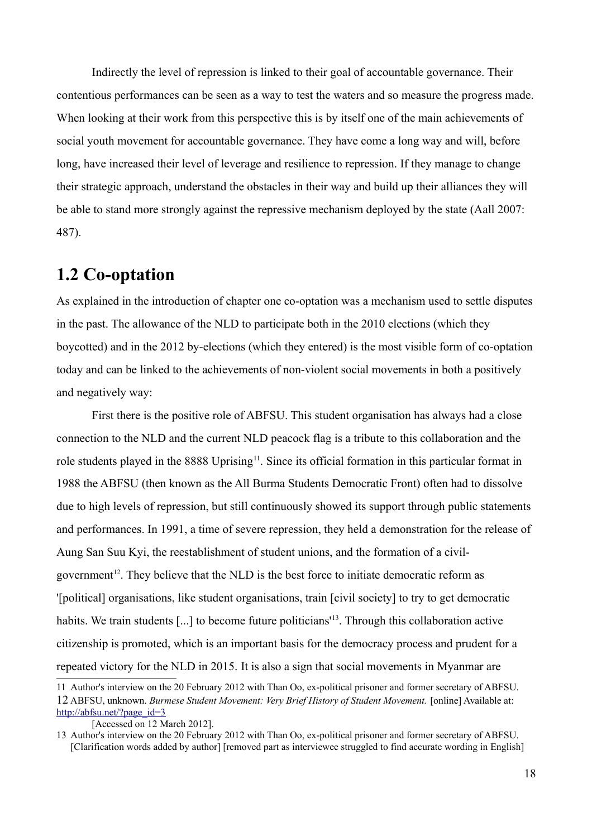Indirectly the level of repression is linked to their goal of accountable governance. Their contentious performances can be seen as a way to test the waters and so measure the progress made. When looking at their work from this perspective this is by itself one of the main achievements of social youth movement for accountable governance. They have come a long way and will, before long, have increased their level of leverage and resilience to repression. If they manage to change their strategic approach, understand the obstacles in their way and build up their alliances they will be able to stand more strongly against the repressive mechanism deployed by the state (Aall 2007: 487).

## **1.2 Co-optation**

As explained in the introduction of chapter one co-optation was a mechanism used to settle disputes in the past. The allowance of the NLD to participate both in the 2010 elections (which they boycotted) and in the 2012 by-elections (which they entered) is the most visible form of co-optation today and can be linked to the achievements of non-violent social movements in both a positively and negatively way:

First there is the positive role of ABFSU. This student organisation has always had a close connection to the NLD and the current NLD peacock flag is a tribute to this collaboration and the role students played in the 8888 Uprising<sup>[11](#page-17-0)</sup>. Since its official formation in this particular format in 1988 the ABFSU (then known as the All Burma Students Democratic Front) often had to dissolve due to high levels of repression, but still continuously showed its support through public statements and performances. In 1991, a time of severe repression, they held a demonstration for the release of Aung San Suu Kyi, the reestablishment of student unions, and the formation of a civil-government<sup>[12](#page-17-1)</sup>. They believe that the NLD is the best force to initiate democratic reform as '[political] organisations, like student organisations, train [civil society] to try to get democratic habits. We train students [...] to become future politicians<sup>'[13](#page-17-2)</sup>. Through this collaboration active citizenship is promoted, which is an important basis for the democracy process and prudent for a repeated victory for the NLD in 2015. It is also a sign that social movements in Myanmar are

<span id="page-17-1"></span><span id="page-17-0"></span><sup>11</sup> Author's interview on the 20 February 2012 with Than Oo, ex-political prisoner and former secretary of ABFSU. 12 ABFSU, unknown. *Burmese Student Movement: Very Brief History of Student Movement.* [online] Available at: [http://abfsu.net/?page\\_id=3](http://abfsu.net/?page_id=3)

<sup>[</sup>Accessed on 12 March 2012].

<span id="page-17-2"></span><sup>13</sup> Author's interview on the 20 February 2012 with Than Oo, ex-political prisoner and former secretary of ABFSU. [Clarification words added by author] [removed part as interviewee struggled to find accurate wording in English]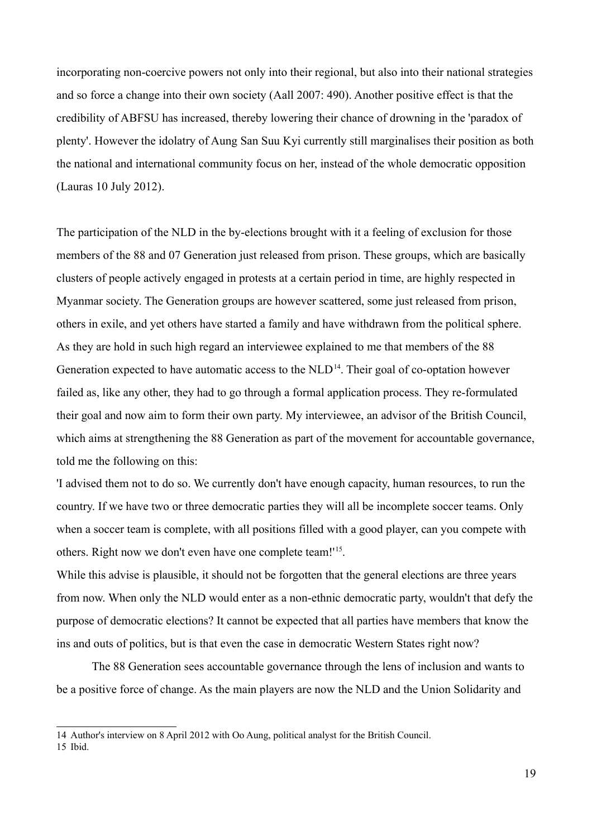incorporating non-coercive powers not only into their regional, but also into their national strategies and so force a change into their own society (Aall 2007: 490). Another positive effect is that the credibility of ABFSU has increased, thereby lowering their chance of drowning in the 'paradox of plenty'. However the idolatry of Aung San Suu Kyi currently still marginalises their position as both the national and international community focus on her, instead of the whole democratic opposition (Lauras 10 July 2012).

The participation of the NLD in the by-elections brought with it a feeling of exclusion for those members of the 88 and 07 Generation just released from prison. These groups, which are basically clusters of people actively engaged in protests at a certain period in time, are highly respected in Myanmar society. The Generation groups are however scattered, some just released from prison, others in exile, and yet others have started a family and have withdrawn from the political sphere. As they are hold in such high regard an interviewee explained to me that members of the 88 Generation expected to have automatic access to the  $NLD<sup>14</sup>$  $NLD<sup>14</sup>$  $NLD<sup>14</sup>$ . Their goal of co-optation however failed as, like any other, they had to go through a formal application process. They re-formulated their goal and now aim to form their own party. My interviewee, an advisor of the British Council, which aims at strengthening the 88 Generation as part of the movement for accountable governance, told me the following on this:

'I advised them not to do so. We currently don't have enough capacity, human resources, to run the country. If we have two or three democratic parties they will all be incomplete soccer teams. Only when a soccer team is complete, with all positions filled with a good player, can you compete with others. Right now we don't even have one complete team!'<sup>[15](#page-18-1)</sup>.

While this advise is plausible, it should not be forgotten that the general elections are three years from now. When only the NLD would enter as a non-ethnic democratic party, wouldn't that defy the purpose of democratic elections? It cannot be expected that all parties have members that know the ins and outs of politics, but is that even the case in democratic Western States right now?

The 88 Generation sees accountable governance through the lens of inclusion and wants to be a positive force of change. As the main players are now the NLD and the Union Solidarity and

<span id="page-18-0"></span><sup>14</sup> Author's interview on 8 April 2012 with Oo Aung, political analyst for the British Council.

<span id="page-18-1"></span><sup>15</sup> Ibid.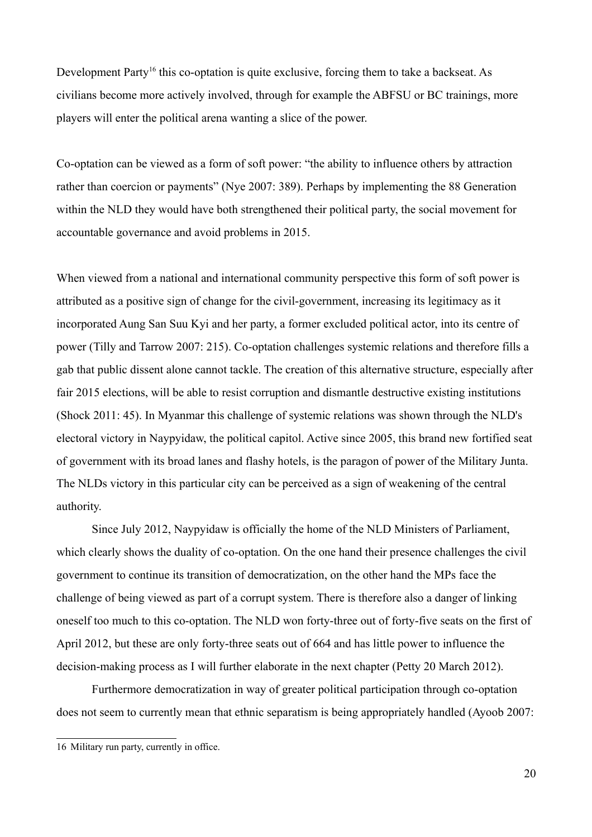Development Party<sup>[16](#page-19-0)</sup> this co-optation is quite exclusive, forcing them to take a backseat. As civilians become more actively involved, through for example the ABFSU or BC trainings, more players will enter the political arena wanting a slice of the power.

Co-optation can be viewed as a form of soft power: "the ability to influence others by attraction rather than coercion or payments" (Nye 2007: 389). Perhaps by implementing the 88 Generation within the NLD they would have both strengthened their political party, the social movement for accountable governance and avoid problems in 2015.

When viewed from a national and international community perspective this form of soft power is attributed as a positive sign of change for the civil-government, increasing its legitimacy as it incorporated Aung San Suu Kyi and her party, a former excluded political actor, into its centre of power (Tilly and Tarrow 2007: 215). Co-optation challenges systemic relations and therefore fills a gab that public dissent alone cannot tackle. The creation of this alternative structure, especially after fair 2015 elections, will be able to resist corruption and dismantle destructive existing institutions (Shock 2011: 45). In Myanmar this challenge of systemic relations was shown through the NLD's electoral victory in Naypyidaw, the political capitol. Active since 2005, this brand new fortified seat of government with its broad lanes and flashy hotels, is the paragon of power of the Military Junta. The NLDs victory in this particular city can be perceived as a sign of weakening of the central authority.

Since July 2012, Naypyidaw is officially the home of the NLD Ministers of Parliament, which clearly shows the duality of co-optation. On the one hand their presence challenges the civil government to continue its transition of democratization, on the other hand the MPs face the challenge of being viewed as part of a corrupt system. There is therefore also a danger of linking oneself too much to this co-optation. The NLD won forty-three out of forty-five seats on the first of April 2012, but these are only forty-three seats out of 664 and has little power to influence the decision-making process as I will further elaborate in the next chapter (Petty 20 March 2012).

Furthermore democratization in way of greater political participation through co-optation does not seem to currently mean that ethnic separatism is being appropriately handled (Ayoob 2007:

<span id="page-19-0"></span><sup>16</sup> Military run party, currently in office.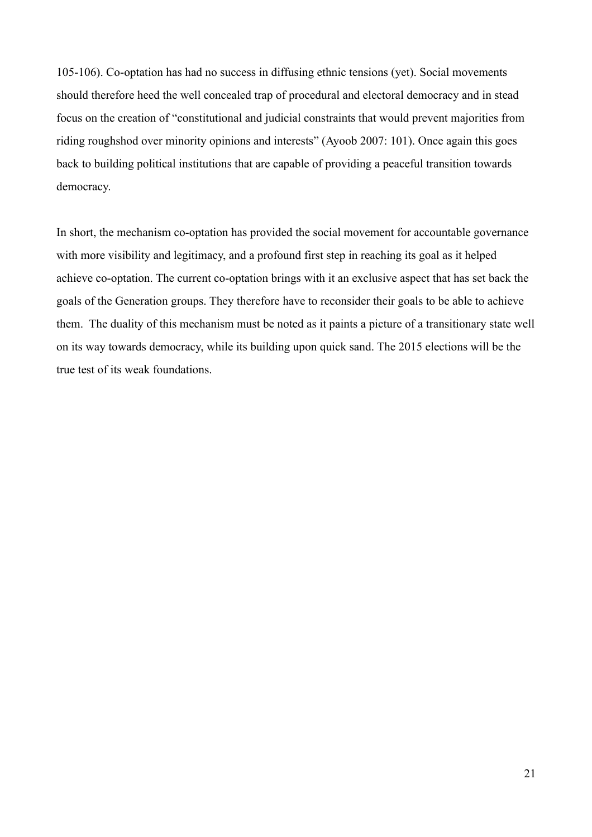105-106). Co-optation has had no success in diffusing ethnic tensions (yet). Social movements should therefore heed the well concealed trap of procedural and electoral democracy and in stead focus on the creation of "constitutional and judicial constraints that would prevent majorities from riding roughshod over minority opinions and interests" (Ayoob 2007: 101). Once again this goes back to building political institutions that are capable of providing a peaceful transition towards democracy.

In short, the mechanism co-optation has provided the social movement for accountable governance with more visibility and legitimacy, and a profound first step in reaching its goal as it helped achieve co-optation. The current co-optation brings with it an exclusive aspect that has set back the goals of the Generation groups. They therefore have to reconsider their goals to be able to achieve them. The duality of this mechanism must be noted as it paints a picture of a transitionary state well on its way towards democracy, while its building upon quick sand. The 2015 elections will be the true test of its weak foundations.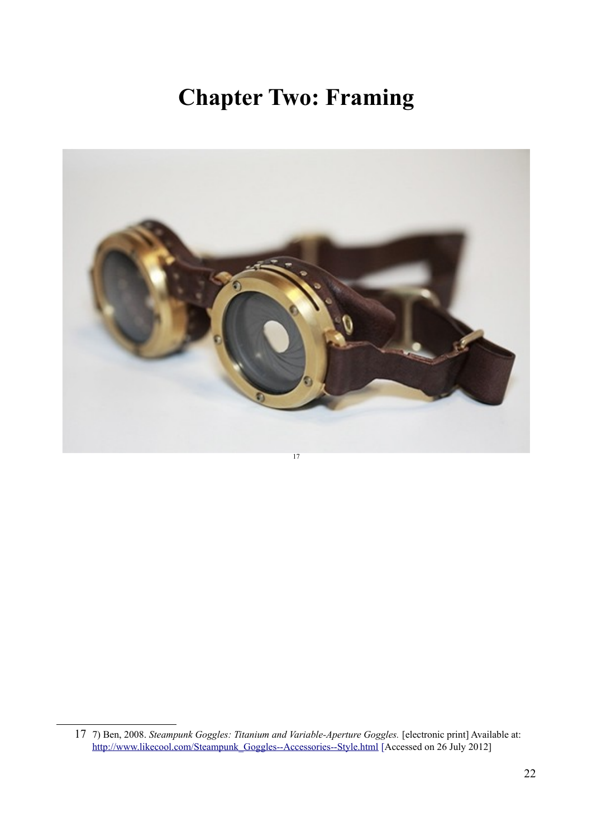# **Chapter Two: Framing**



<span id="page-21-0"></span><sup>17</sup> 7) Ben, 2008. *Steampunk Goggles: Titanium and Variable-Aperture Goggles.* [electronic print] Available at: [http://www.likecool.com/Steampunk\\_Goggles--Accessories--Style.html](http://www.likecool.com/Steampunk_Goggles--Accessories--Style.html) [Accessed on 26 July 2012]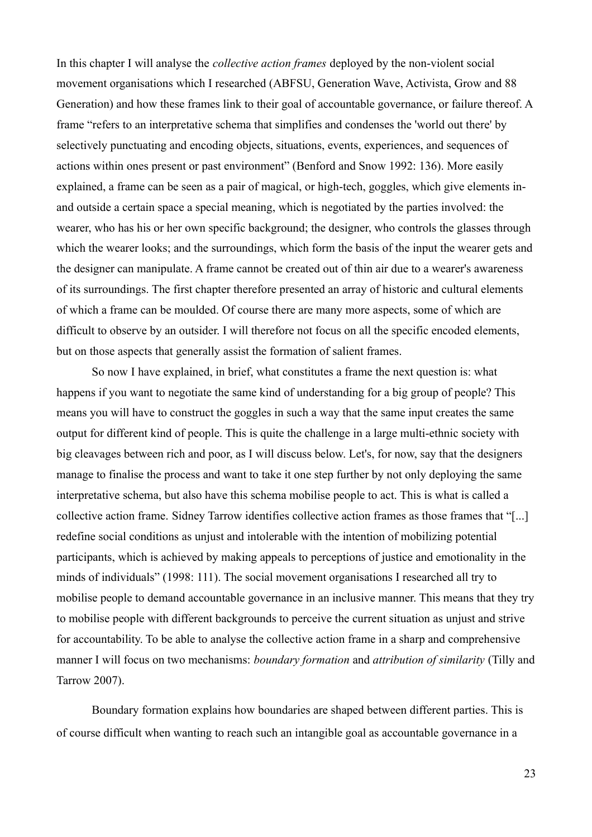In this chapter I will analyse the *collective action frames* deployed by the non-violent social movement organisations which I researched (ABFSU, Generation Wave, Activista, Grow and 88 Generation) and how these frames link to their goal of accountable governance, or failure thereof. A frame "refers to an interpretative schema that simplifies and condenses the 'world out there' by selectively punctuating and encoding objects, situations, events, experiences, and sequences of actions within ones present or past environment" (Benford and Snow 1992: 136). More easily explained, a frame can be seen as a pair of magical, or high-tech, goggles, which give elements inand outside a certain space a special meaning, which is negotiated by the parties involved: the wearer, who has his or her own specific background; the designer, who controls the glasses through which the wearer looks; and the surroundings, which form the basis of the input the wearer gets and the designer can manipulate. A frame cannot be created out of thin air due to a wearer's awareness of its surroundings. The first chapter therefore presented an array of historic and cultural elements of which a frame can be moulded. Of course there are many more aspects, some of which are difficult to observe by an outsider. I will therefore not focus on all the specific encoded elements, but on those aspects that generally assist the formation of salient frames.

So now I have explained, in brief, what constitutes a frame the next question is: what happens if you want to negotiate the same kind of understanding for a big group of people? This means you will have to construct the goggles in such a way that the same input creates the same output for different kind of people. This is quite the challenge in a large multi-ethnic society with big cleavages between rich and poor, as I will discuss below. Let's, for now, say that the designers manage to finalise the process and want to take it one step further by not only deploying the same interpretative schema, but also have this schema mobilise people to act. This is what is called a collective action frame. Sidney Tarrow identifies collective action frames as those frames that "[...] redefine social conditions as unjust and intolerable with the intention of mobilizing potential participants, which is achieved by making appeals to perceptions of justice and emotionality in the minds of individuals" (1998: 111). The social movement organisations I researched all try to mobilise people to demand accountable governance in an inclusive manner. This means that they try to mobilise people with different backgrounds to perceive the current situation as unjust and strive for accountability. To be able to analyse the collective action frame in a sharp and comprehensive manner I will focus on two mechanisms: *boundary formation* and *attribution of similarity* (Tilly and Tarrow 2007).

Boundary formation explains how boundaries are shaped between different parties. This is of course difficult when wanting to reach such an intangible goal as accountable governance in a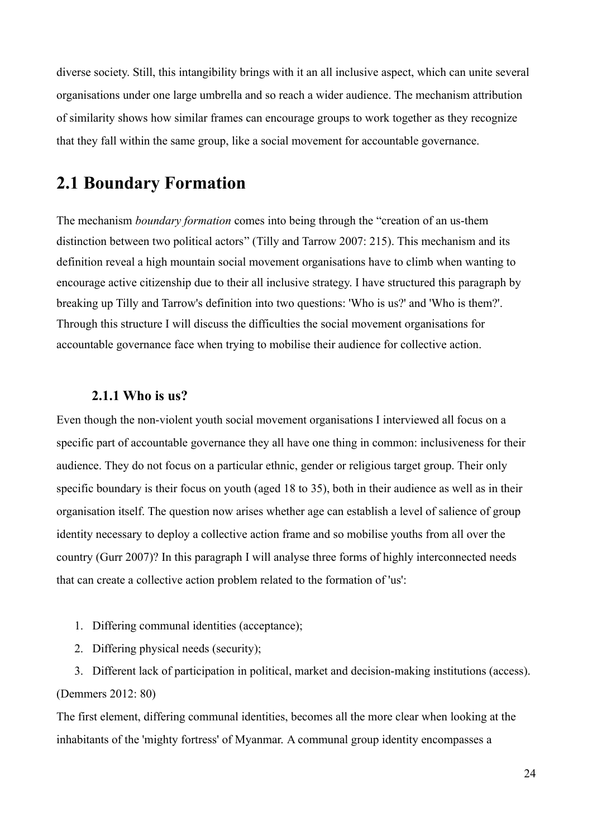diverse society. Still, this intangibility brings with it an all inclusive aspect, which can unite several organisations under one large umbrella and so reach a wider audience. The mechanism attribution of similarity shows how similar frames can encourage groups to work together as they recognize that they fall within the same group, like a social movement for accountable governance.

## **2.1 Boundary Formation**

The mechanism *boundary formation* comes into being through the "creation of an us-them distinction between two political actors" (Tilly and Tarrow 2007: 215). This mechanism and its definition reveal a high mountain social movement organisations have to climb when wanting to encourage active citizenship due to their all inclusive strategy. I have structured this paragraph by breaking up Tilly and Tarrow's definition into two questions: 'Who is us?' and 'Who is them?'. Through this structure I will discuss the difficulties the social movement organisations for accountable governance face when trying to mobilise their audience for collective action.

#### **2.1.1 Who is us?**

Even though the non-violent youth social movement organisations I interviewed all focus on a specific part of accountable governance they all have one thing in common: inclusiveness for their audience. They do not focus on a particular ethnic, gender or religious target group. Their only specific boundary is their focus on youth (aged 18 to 35), both in their audience as well as in their organisation itself. The question now arises whether age can establish a level of salience of group identity necessary to deploy a collective action frame and so mobilise youths from all over the country (Gurr 2007)? In this paragraph I will analyse three forms of highly interconnected needs that can create a collective action problem related to the formation of 'us':

- 1. Differing communal identities (acceptance);
- 2. Differing physical needs (security);

3. Different lack of participation in political, market and decision-making institutions (access). (Demmers 2012: 80)

The first element, differing communal identities, becomes all the more clear when looking at the inhabitants of the 'mighty fortress' of Myanmar. A communal group identity encompasses a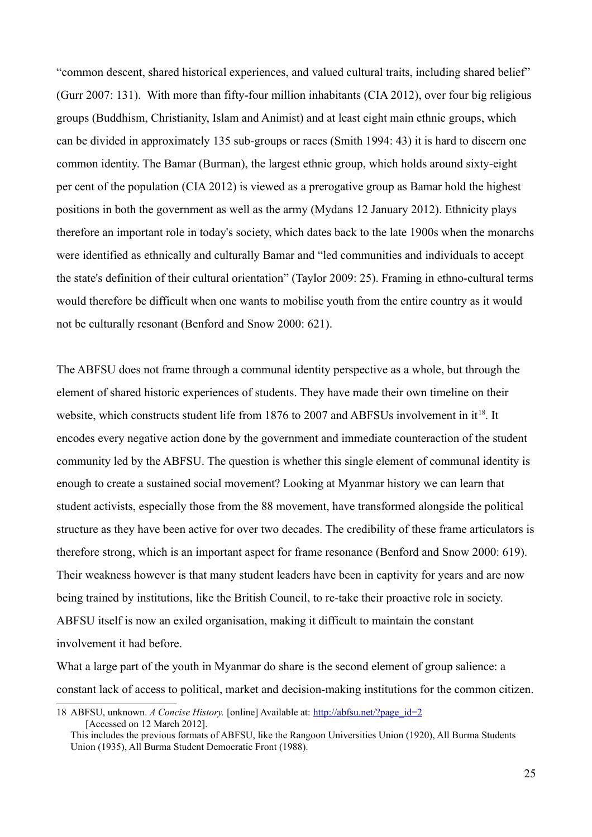"common descent, shared historical experiences, and valued cultural traits, including shared belief" (Gurr 2007: 131). With more than fifty-four million inhabitants (CIA 2012), over four big religious groups (Buddhism, Christianity, Islam and Animist) and at least eight main ethnic groups, which can be divided in approximately 135 sub-groups or races (Smith 1994: 43) it is hard to discern one common identity. The Bamar (Burman), the largest ethnic group, which holds around sixty-eight per cent of the population (CIA 2012) is viewed as a prerogative group as Bamar hold the highest positions in both the government as well as the army (Mydans 12 January 2012). Ethnicity plays therefore an important role in today's society, which dates back to the late 1900s when the monarchs were identified as ethnically and culturally Bamar and "led communities and individuals to accept the state's definition of their cultural orientation" (Taylor 2009: 25). Framing in ethno-cultural terms would therefore be difficult when one wants to mobilise youth from the entire country as it would not be culturally resonant (Benford and Snow 2000: 621).

The ABFSU does not frame through a communal identity perspective as a whole, but through the element of shared historic experiences of students. They have made their own timeline on their website, which constructs student life from [18](#page-24-0)76 to 2007 and ABFSUs involvement in it<sup>18</sup>. It encodes every negative action done by the government and immediate counteraction of the student community led by the ABFSU. The question is whether this single element of communal identity is enough to create a sustained social movement? Looking at Myanmar history we can learn that student activists, especially those from the 88 movement, have transformed alongside the political structure as they have been active for over two decades. The credibility of these frame articulators is therefore strong, which is an important aspect for frame resonance (Benford and Snow 2000: 619). Their weakness however is that many student leaders have been in captivity for years and are now being trained by institutions, like the British Council, to re-take their proactive role in society. ABFSU itself is now an exiled organisation, making it difficult to maintain the constant involvement it had before.

What a large part of the youth in Myanmar do share is the second element of group salience: a constant lack of access to political, market and decision-making institutions for the common citizen.

<span id="page-24-0"></span><sup>18</sup> ABFSU, unknown. *A Concise History.* [online] Available at: [http://abfsu.net/?page\\_id=2](http://abfsu.net/?page_id=2) [Accessed on 12 March 2012]. This includes the previous formats of ABFSU, like the Rangoon Universities Union (1920), All Burma Students Union (1935), All Burma Student Democratic Front (1988).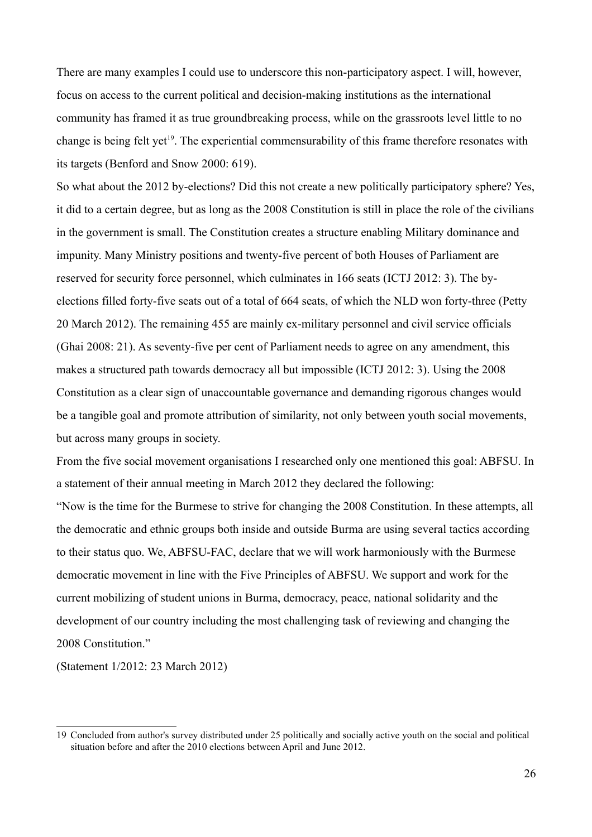There are many examples I could use to underscore this non-participatory aspect. I will, however, focus on access to the current political and decision-making institutions as the international community has framed it as true groundbreaking process, while on the grassroots level little to no change is being felt yet<sup>[19](#page-25-0)</sup>. The experiential commensurability of this frame therefore resonates with its targets (Benford and Snow 2000: 619).

So what about the 2012 by-elections? Did this not create a new politically participatory sphere? Yes, it did to a certain degree, but as long as the 2008 Constitution is still in place the role of the civilians in the government is small. The Constitution creates a structure enabling Military dominance and impunity. Many Ministry positions and twenty-five percent of both Houses of Parliament are reserved for security force personnel, which culminates in 166 seats (ICTJ 2012: 3). The byelections filled forty-five seats out of a total of 664 seats, of which the NLD won forty-three (Petty 20 March 2012). The remaining 455 are mainly ex-military personnel and civil service officials (Ghai 2008: 21). As seventy-five per cent of Parliament needs to agree on any amendment, this makes a structured path towards democracy all but impossible (ICTJ 2012: 3). Using the 2008 Constitution as a clear sign of unaccountable governance and demanding rigorous changes would be a tangible goal and promote attribution of similarity, not only between youth social movements, but across many groups in society.

From the five social movement organisations I researched only one mentioned this goal: ABFSU. In a statement of their annual meeting in March 2012 they declared the following:

"Now is the time for the Burmese to strive for changing the 2008 Constitution. In these attempts, all the democratic and ethnic groups both inside and outside Burma are using several tactics according to their status quo. We, ABFSU-FAC, declare that we will work harmoniously with the Burmese democratic movement in line with the Five Principles of ABFSU. We support and work for the current mobilizing of student unions in Burma, democracy, peace, national solidarity and the development of our country including the most challenging task of reviewing and changing the 2008 Constitution."

(Statement 1/2012: 23 March 2012)

<span id="page-25-0"></span><sup>19</sup> Concluded from author's survey distributed under 25 politically and socially active youth on the social and political situation before and after the 2010 elections between April and June 2012.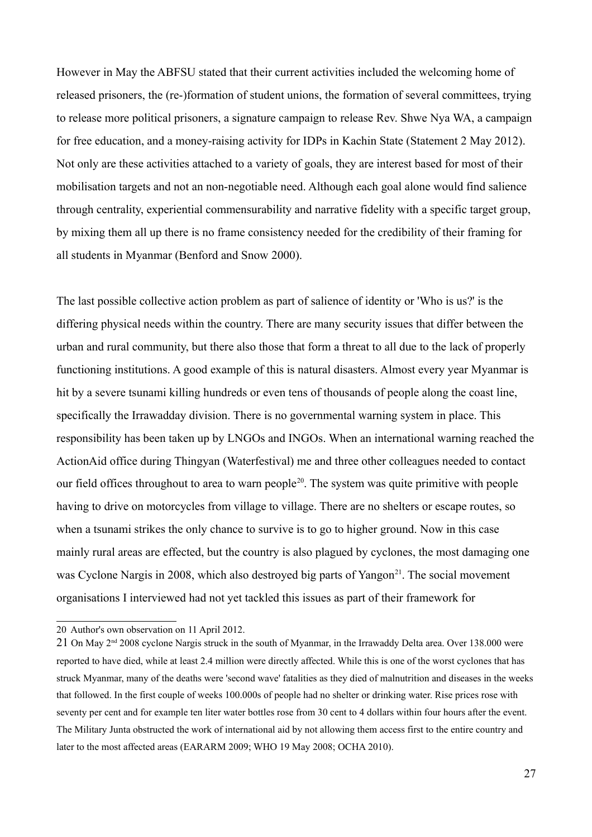However in May the ABFSU stated that their current activities included the welcoming home of released prisoners, the (re-)formation of student unions, the formation of several committees, trying to release more political prisoners, a signature campaign to release Rev. Shwe Nya WA, a campaign for free education, and a money-raising activity for IDPs in Kachin State (Statement 2 May 2012). Not only are these activities attached to a variety of goals, they are interest based for most of their mobilisation targets and not an non-negotiable need. Although each goal alone would find salience through centrality, experiential commensurability and narrative fidelity with a specific target group, by mixing them all up there is no frame consistency needed for the credibility of their framing for all students in Myanmar (Benford and Snow 2000).

The last possible collective action problem as part of salience of identity or 'Who is us?' is the differing physical needs within the country. There are many security issues that differ between the urban and rural community, but there also those that form a threat to all due to the lack of properly functioning institutions. A good example of this is natural disasters. Almost every year Myanmar is hit by a severe tsunami killing hundreds or even tens of thousands of people along the coast line, specifically the Irrawadday division. There is no governmental warning system in place. This responsibility has been taken up by LNGOs and INGOs. When an international warning reached the ActionAid office during Thingyan (Waterfestival) me and three other colleagues needed to contact our field offices throughout to area to warn people<sup>[20](#page-26-0)</sup>. The system was quite primitive with people having to drive on motorcycles from village to village. There are no shelters or escape routes, so when a tsunami strikes the only chance to survive is to go to higher ground. Now in this case mainly rural areas are effected, but the country is also plagued by cyclones, the most damaging one was Cyclone Nargis in 2008, which also destroyed big parts of Yangon<sup>[21](#page-26-1)</sup>. The social movement organisations I interviewed had not yet tackled this issues as part of their framework for

<span id="page-26-0"></span><sup>20</sup> Author's own observation on 11 April 2012.

<span id="page-26-1"></span><sup>21</sup> On May  $2<sup>nd</sup>$  2008 cyclone Nargis struck in the south of Myanmar, in the Irrawaddy Delta area. Over 138.000 were reported to have died, while at least 2.4 million were directly affected. While this is one of the worst cyclones that has struck Myanmar, many of the deaths were 'second wave' fatalities as they died of malnutrition and diseases in the weeks that followed. In the first couple of weeks 100.000s of people had no shelter or drinking water. Rise prices rose with seventy per cent and for example ten liter water bottles rose from 30 cent to 4 dollars within four hours after the event. The Military Junta obstructed the work of international aid by not allowing them access first to the entire country and later to the most affected areas (EARARM 2009; WHO 19 May 2008; OCHA 2010).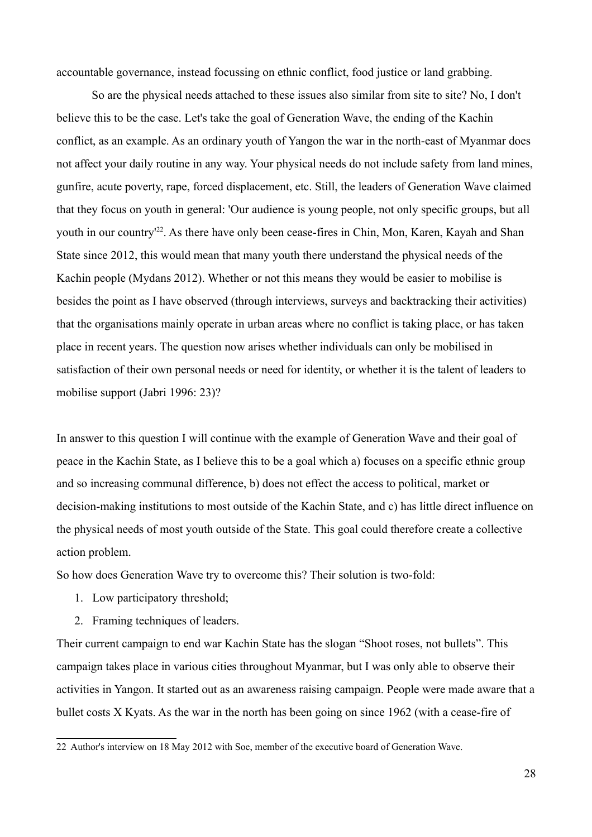accountable governance, instead focussing on ethnic conflict, food justice or land grabbing.

So are the physical needs attached to these issues also similar from site to site? No, I don't believe this to be the case. Let's take the goal of Generation Wave, the ending of the Kachin conflict, as an example. As an ordinary youth of Yangon the war in the north-east of Myanmar does not affect your daily routine in any way. Your physical needs do not include safety from land mines, gunfire, acute poverty, rape, forced displacement, etc. Still, the leaders of Generation Wave claimed that they focus on youth in general: 'Our audience is young people, not only specific groups, but all youth in our country<sup>'[22](#page-27-0)</sup>. As there have only been cease-fires in Chin, Mon, Karen, Kayah and Shan State since 2012, this would mean that many youth there understand the physical needs of the Kachin people (Mydans 2012). Whether or not this means they would be easier to mobilise is besides the point as I have observed (through interviews, surveys and backtracking their activities) that the organisations mainly operate in urban areas where no conflict is taking place, or has taken place in recent years. The question now arises whether individuals can only be mobilised in satisfaction of their own personal needs or need for identity, or whether it is the talent of leaders to mobilise support (Jabri 1996: 23)?

In answer to this question I will continue with the example of Generation Wave and their goal of peace in the Kachin State, as I believe this to be a goal which a) focuses on a specific ethnic group and so increasing communal difference, b) does not effect the access to political, market or decision-making institutions to most outside of the Kachin State, and c) has little direct influence on the physical needs of most youth outside of the State. This goal could therefore create a collective action problem.

So how does Generation Wave try to overcome this? Their solution is two-fold:

- 1. Low participatory threshold;
- 2. Framing techniques of leaders.

Their current campaign to end war Kachin State has the slogan "Shoot roses, not bullets". This campaign takes place in various cities throughout Myanmar, but I was only able to observe their activities in Yangon. It started out as an awareness raising campaign. People were made aware that a bullet costs X Kyats. As the war in the north has been going on since 1962 (with a cease-fire of

<span id="page-27-0"></span><sup>22</sup> Author's interview on 18 May 2012 with Soe, member of the executive board of Generation Wave.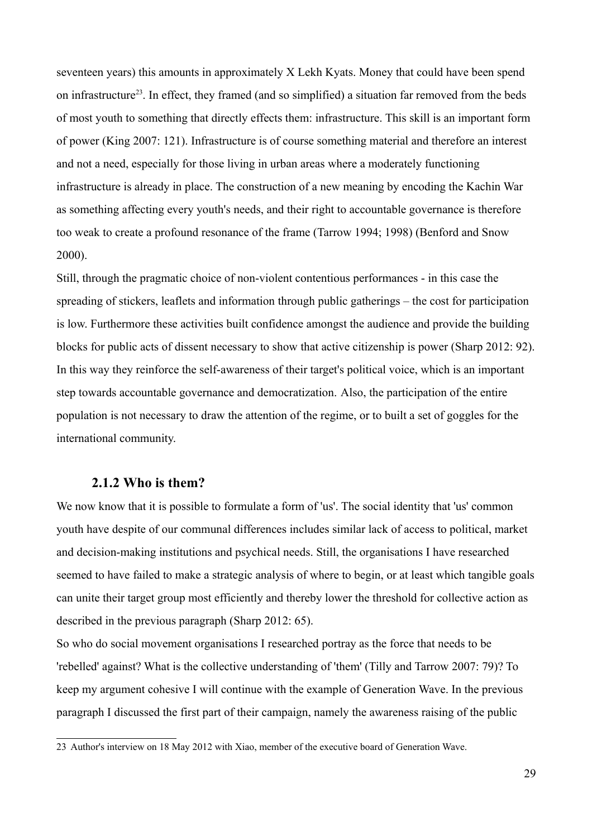seventeen years) this amounts in approximately X Lekh Kyats. Money that could have been spend on infrastructure<sup>[23](#page-28-0)</sup>. In effect, they framed (and so simplified) a situation far removed from the beds of most youth to something that directly effects them: infrastructure. This skill is an important form of power (King 2007: 121). Infrastructure is of course something material and therefore an interest and not a need, especially for those living in urban areas where a moderately functioning infrastructure is already in place. The construction of a new meaning by encoding the Kachin War as something affecting every youth's needs, and their right to accountable governance is therefore too weak to create a profound resonance of the frame (Tarrow 1994; 1998) (Benford and Snow 2000).

Still, through the pragmatic choice of non-violent contentious performances - in this case the spreading of stickers, leaflets and information through public gatherings – the cost for participation is low. Furthermore these activities built confidence amongst the audience and provide the building blocks for public acts of dissent necessary to show that active citizenship is power (Sharp 2012: 92). In this way they reinforce the self-awareness of their target's political voice, which is an important step towards accountable governance and democratization. Also, the participation of the entire population is not necessary to draw the attention of the regime, or to built a set of goggles for the international community.

#### **2.1.2 Who is them?**

We now know that it is possible to formulate a form of 'us'. The social identity that 'us' common youth have despite of our communal differences includes similar lack of access to political, market and decision-making institutions and psychical needs. Still, the organisations I have researched seemed to have failed to make a strategic analysis of where to begin, or at least which tangible goals can unite their target group most efficiently and thereby lower the threshold for collective action as described in the previous paragraph (Sharp 2012: 65).

So who do social movement organisations I researched portray as the force that needs to be 'rebelled' against? What is the collective understanding of 'them' (Tilly and Tarrow 2007: 79)? To keep my argument cohesive I will continue with the example of Generation Wave. In the previous paragraph I discussed the first part of their campaign, namely the awareness raising of the public

<span id="page-28-0"></span><sup>23</sup> Author's interview on 18 May 2012 with Xiao, member of the executive board of Generation Wave.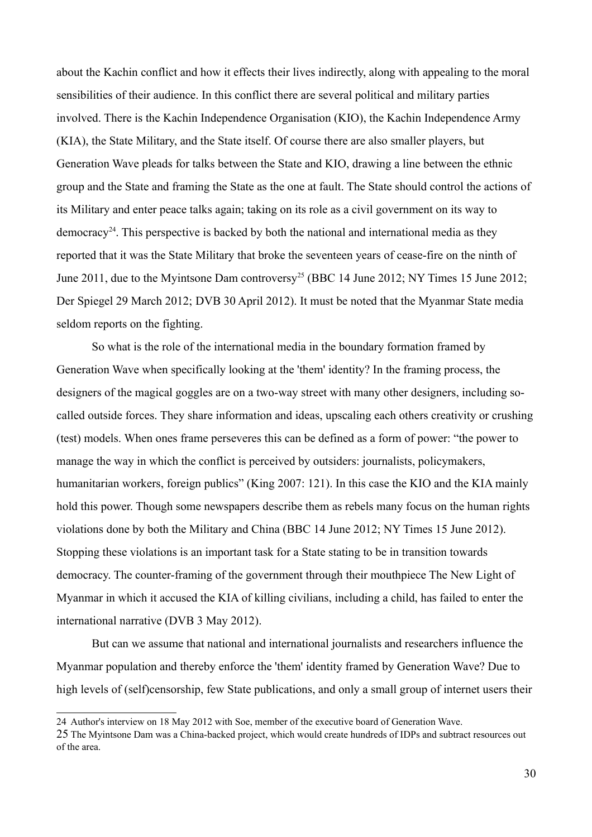about the Kachin conflict and how it effects their lives indirectly, along with appealing to the moral sensibilities of their audience. In this conflict there are several political and military parties involved. There is the Kachin Independence Organisation (KIO), the Kachin Independence Army (KIA), the State Military, and the State itself. Of course there are also smaller players, but Generation Wave pleads for talks between the State and KIO, drawing a line between the ethnic group and the State and framing the State as the one at fault. The State should control the actions of its Military and enter peace talks again; taking on its role as a civil government on its way to democracy<sup>[24](#page-29-0)</sup>. This perspective is backed by both the national and international media as they reported that it was the State Military that broke the seventeen years of cease-fire on the ninth of June 2011, due to the Myintsone Dam controversy<sup>[25](#page-29-1)</sup> (BBC 14 June 2012; NY Times 15 June 2012; Der Spiegel 29 March 2012; DVB 30 April 2012). It must be noted that the Myanmar State media seldom reports on the fighting.

So what is the role of the international media in the boundary formation framed by Generation Wave when specifically looking at the 'them' identity? In the framing process, the designers of the magical goggles are on a two-way street with many other designers, including socalled outside forces. They share information and ideas, upscaling each others creativity or crushing (test) models. When ones frame perseveres this can be defined as a form of power: "the power to manage the way in which the conflict is perceived by outsiders: journalists, policymakers, humanitarian workers, foreign publics" (King 2007: 121). In this case the KIO and the KIA mainly hold this power. Though some newspapers describe them as rebels many focus on the human rights violations done by both the Military and China (BBC 14 June 2012; NY Times 15 June 2012). Stopping these violations is an important task for a State stating to be in transition towards democracy. The counter-framing of the government through their mouthpiece The New Light of Myanmar in which it accused the KIA of killing civilians, including a child, has failed to enter the international narrative (DVB 3 May 2012).

But can we assume that national and international journalists and researchers influence the Myanmar population and thereby enforce the 'them' identity framed by Generation Wave? Due to high levels of (self)censorship, few State publications, and only a small group of internet users their

<span id="page-29-0"></span><sup>24</sup> Author's interview on 18 May 2012 with Soe, member of the executive board of Generation Wave.

<span id="page-29-1"></span><sup>25</sup> The Myintsone Dam was a China-backed project, which would create hundreds of IDPs and subtract resources out of the area.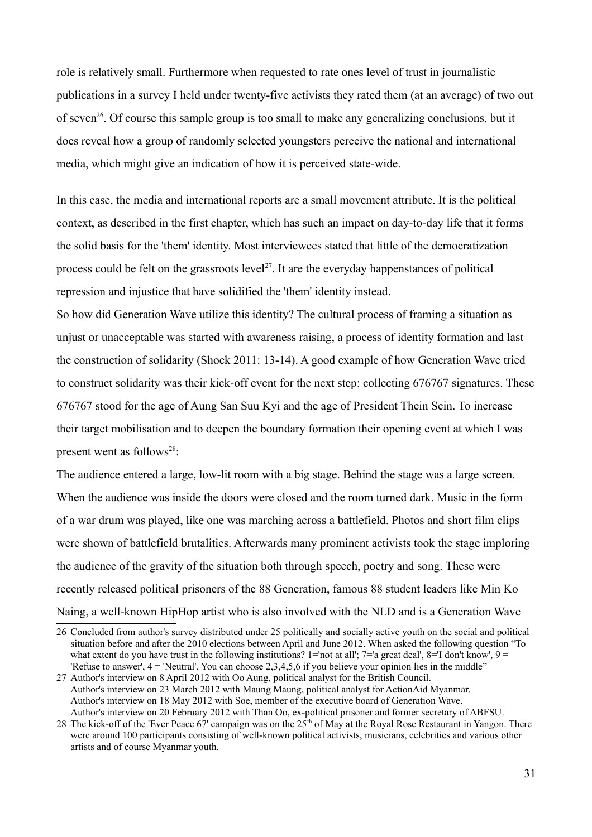role is relatively small. Furthermore when requested to rate ones level of trust in journalistic publications in a survey I held under twenty-five activists they rated them (at an average) of two out of seven<sup>[26](#page-30-0)</sup>. Of course this sample group is too small to make any generalizing conclusions, but it does reveal how a group of randomly selected youngsters perceive the national and international media, which might give an indication of how it is perceived state-wide.

In this case, the media and international reports are a small movement attribute. It is the political context, as described in the first chapter, which has such an impact on day-to-day life that it forms the solid basis for the 'them' identity. Most interviewees stated that little of the democratization process could be felt on the grassroots level<sup>[27](#page-30-1)</sup>. It are the everyday happenstances of political repression and injustice that have solidified the 'them' identity instead.

So how did Generation Wave utilize this identity? The cultural process of framing a situation as unjust or unacceptable was started with awareness raising, a process of identity formation and last the construction of solidarity (Shock 2011: 13-14). A good example of how Generation Wave tried to construct solidarity was their kick-off event for the next step: collecting 676767 signatures. These 676767 stood for the age of Aung San Suu Kyi and the age of President Thein Sein. To increase their target mobilisation and to deepen the boundary formation their opening event at which I was present went as follows<sup>[28](#page-30-2)</sup>:

The audience entered a large, low-lit room with a big stage. Behind the stage was a large screen. When the audience was inside the doors were closed and the room turned dark. Music in the form of a war drum was played, like one was marching across a battlefield. Photos and short film clips were shown of battlefield brutalities. Afterwards many prominent activists took the stage imploring the audience of the gravity of the situation both through speech, poetry and song. These were recently released political prisoners of the 88 Generation, famous 88 student leaders like Min Ko Naing, a well-known HipHop artist who is also involved with the NLD and is a Generation Wave

<span id="page-30-0"></span><sup>26</sup> Concluded from author's survey distributed under 25 politically and socially active youth on the social and political situation before and after the 2010 elections between April and June 2012. When asked the following question "To what extent do you have trust in the following institutions? 1='not at all'; 7='a great deal', 8='I don't know',  $9 =$ 'Refuse to answer',  $4$  = 'Neutral'. You can choose 2,3,4,5,6 if you believe your opinion lies in the middle"

<span id="page-30-1"></span><sup>27</sup> Author's interview on 8 April 2012 with Oo Aung, political analyst for the British Council. Author's interview on 23 March 2012 with Maung Maung, political analyst for ActionAid Myanmar. Author's interview on 18 May 2012 with Soe, member of the executive board of Generation Wave. Author's interview on 20 February 2012 with Than Oo, ex-political prisoner and former secretary of ABFSU.

<span id="page-30-2"></span><sup>28</sup> The kick-off of the 'Ever Peace  $67'$  campaign was on the  $25<sup>th</sup>$  of May at the Royal Rose Restaurant in Yangon. There were around 100 participants consisting of well-known political activists, musicians, celebrities and various other artists and of course Myanmar youth.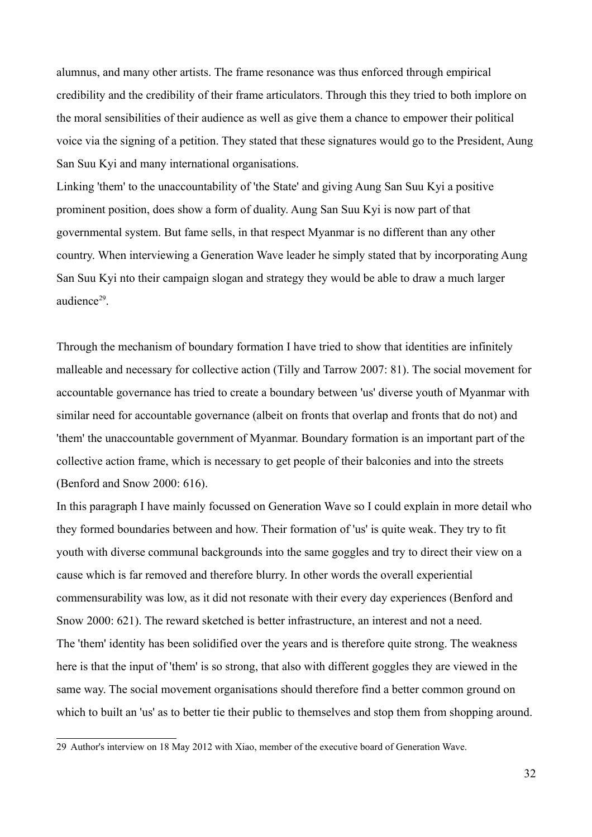alumnus, and many other artists. The frame resonance was thus enforced through empirical credibility and the credibility of their frame articulators. Through this they tried to both implore on the moral sensibilities of their audience as well as give them a chance to empower their political voice via the signing of a petition. They stated that these signatures would go to the President, Aung San Suu Kyi and many international organisations.

Linking 'them' to the unaccountability of 'the State' and giving Aung San Suu Kyi a positive prominent position, does show a form of duality. Aung San Suu Kyi is now part of that governmental system. But fame sells, in that respect Myanmar is no different than any other country. When interviewing a Generation Wave leader he simply stated that by incorporating Aung San Suu Kyi nto their campaign slogan and strategy they would be able to draw a much larger audience<sup>[29](#page-31-0)</sup>.

Through the mechanism of boundary formation I have tried to show that identities are infinitely malleable and necessary for collective action (Tilly and Tarrow 2007: 81). The social movement for accountable governance has tried to create a boundary between 'us' diverse youth of Myanmar with similar need for accountable governance (albeit on fronts that overlap and fronts that do not) and 'them' the unaccountable government of Myanmar. Boundary formation is an important part of the collective action frame, which is necessary to get people of their balconies and into the streets (Benford and Snow 2000: 616).

In this paragraph I have mainly focussed on Generation Wave so I could explain in more detail who they formed boundaries between and how. Their formation of 'us' is quite weak. They try to fit youth with diverse communal backgrounds into the same goggles and try to direct their view on a cause which is far removed and therefore blurry. In other words the overall experiential commensurability was low, as it did not resonate with their every day experiences (Benford and Snow 2000: 621). The reward sketched is better infrastructure, an interest and not a need. The 'them' identity has been solidified over the years and is therefore quite strong. The weakness here is that the input of 'them' is so strong, that also with different goggles they are viewed in the same way. The social movement organisations should therefore find a better common ground on which to built an 'us' as to better tie their public to themselves and stop them from shopping around.

<span id="page-31-0"></span><sup>29</sup> Author's interview on 18 May 2012 with Xiao, member of the executive board of Generation Wave.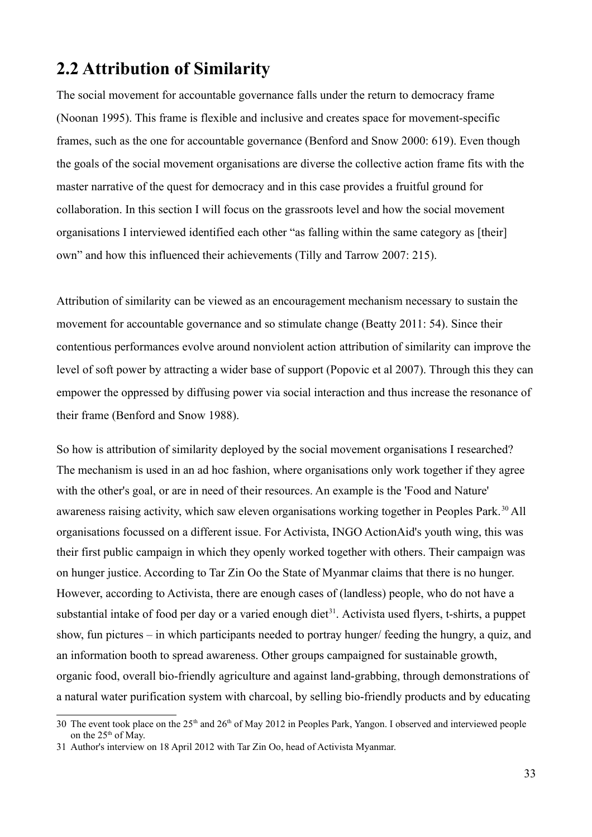## **2.2 Attribution of Similarity**

The social movement for accountable governance falls under the return to democracy frame (Noonan 1995). This frame is flexible and inclusive and creates space for movement-specific frames, such as the one for accountable governance (Benford and Snow 2000: 619). Even though the goals of the social movement organisations are diverse the collective action frame fits with the master narrative of the quest for democracy and in this case provides a fruitful ground for collaboration. In this section I will focus on the grassroots level and how the social movement organisations I interviewed identified each other "as falling within the same category as [their] own" and how this influenced their achievements (Tilly and Tarrow 2007: 215).

Attribution of similarity can be viewed as an encouragement mechanism necessary to sustain the movement for accountable governance and so stimulate change (Beatty 2011: 54). Since their contentious performances evolve around nonviolent action attribution of similarity can improve the level of soft power by attracting a wider base of support (Popovic et al 2007). Through this they can empower the oppressed by diffusing power via social interaction and thus increase the resonance of their frame (Benford and Snow 1988).

So how is attribution of similarity deployed by the social movement organisations I researched? The mechanism is used in an ad hoc fashion, where organisations only work together if they agree with the other's goal, or are in need of their resources. An example is the 'Food and Nature' awareness raising activity, which saw eleven organisations working together in Peoples Park.<sup>[30](#page-32-0)</sup> All organisations focussed on a different issue. For Activista, INGO ActionAid's youth wing, this was their first public campaign in which they openly worked together with others. Their campaign was on hunger justice. According to Tar Zin Oo the State of Myanmar claims that there is no hunger. However, according to Activista, there are enough cases of (landless) people, who do not have a substantial intake of food per day or a varied enough diet<sup>[31](#page-32-1)</sup>. Activista used flyers, t-shirts, a puppet show, fun pictures – in which participants needed to portray hunger/ feeding the hungry, a quiz, and an information booth to spread awareness. Other groups campaigned for sustainable growth, organic food, overall bio-friendly agriculture and against land-grabbing, through demonstrations of a natural water purification system with charcoal, by selling bio-friendly products and by educating

<span id="page-32-0"></span><sup>30</sup> The event took place on the  $25<sup>th</sup>$  and  $26<sup>th</sup>$  of May 2012 in Peoples Park, Yangon. I observed and interviewed people on the  $25<sup>th</sup>$  of May.

<span id="page-32-1"></span><sup>31</sup> Author's interview on 18 April 2012 with Tar Zin Oo, head of Activista Myanmar.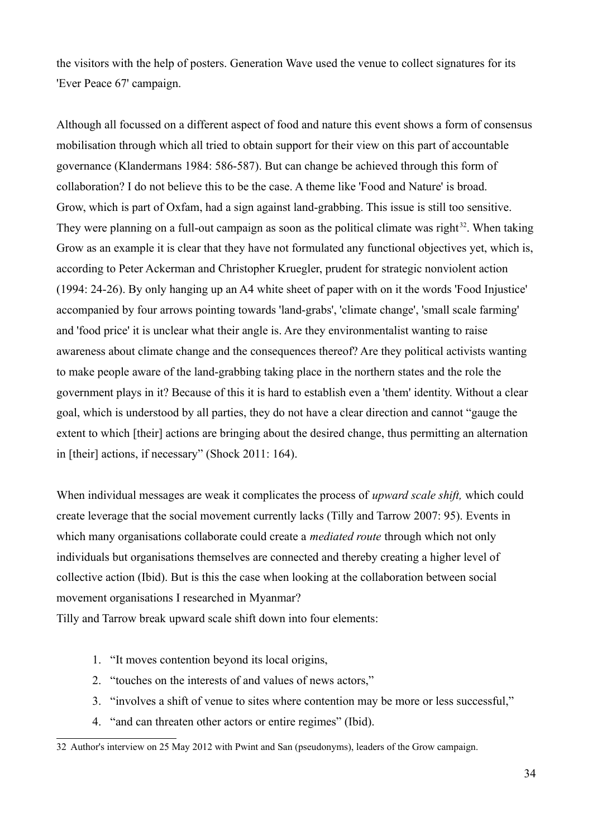the visitors with the help of posters. Generation Wave used the venue to collect signatures for its 'Ever Peace 67' campaign.

Although all focussed on a different aspect of food and nature this event shows a form of consensus mobilisation through which all tried to obtain support for their view on this part of accountable governance (Klandermans 1984: 586-587). But can change be achieved through this form of collaboration? I do not believe this to be the case. A theme like 'Food and Nature' is broad. Grow, which is part of Oxfam, had a sign against land-grabbing. This issue is still too sensitive. They were planning on a full-out campaign as soon as the political climate was right $^{32}$  $^{32}$  $^{32}$ . When taking Grow as an example it is clear that they have not formulated any functional objectives yet, which is, according to Peter Ackerman and Christopher Kruegler, prudent for strategic nonviolent action (1994: 24-26). By only hanging up an A4 white sheet of paper with on it the words 'Food Injustice' accompanied by four arrows pointing towards 'land-grabs', 'climate change', 'small scale farming' and 'food price' it is unclear what their angle is. Are they environmentalist wanting to raise awareness about climate change and the consequences thereof? Are they political activists wanting to make people aware of the land-grabbing taking place in the northern states and the role the government plays in it? Because of this it is hard to establish even a 'them' identity. Without a clear goal, which is understood by all parties, they do not have a clear direction and cannot "gauge the extent to which [their] actions are bringing about the desired change, thus permitting an alternation in [their] actions, if necessary" (Shock 2011: 164).

When individual messages are weak it complicates the process of *upward scale shift,* which could create leverage that the social movement currently lacks (Tilly and Tarrow 2007: 95). Events in which many organisations collaborate could create a *mediated route* through which not only individuals but organisations themselves are connected and thereby creating a higher level of collective action (Ibid). But is this the case when looking at the collaboration between social movement organisations I researched in Myanmar?

Tilly and Tarrow break upward scale shift down into four elements:

- 1. "It moves contention beyond its local origins,
- 2. "touches on the interests of and values of news actors,"
- 3. "involves a shift of venue to sites where contention may be more or less successful,"
- 4. "and can threaten other actors or entire regimes" (Ibid).

<span id="page-33-0"></span><sup>32</sup> Author's interview on 25 May 2012 with Pwint and San (pseudonyms), leaders of the Grow campaign.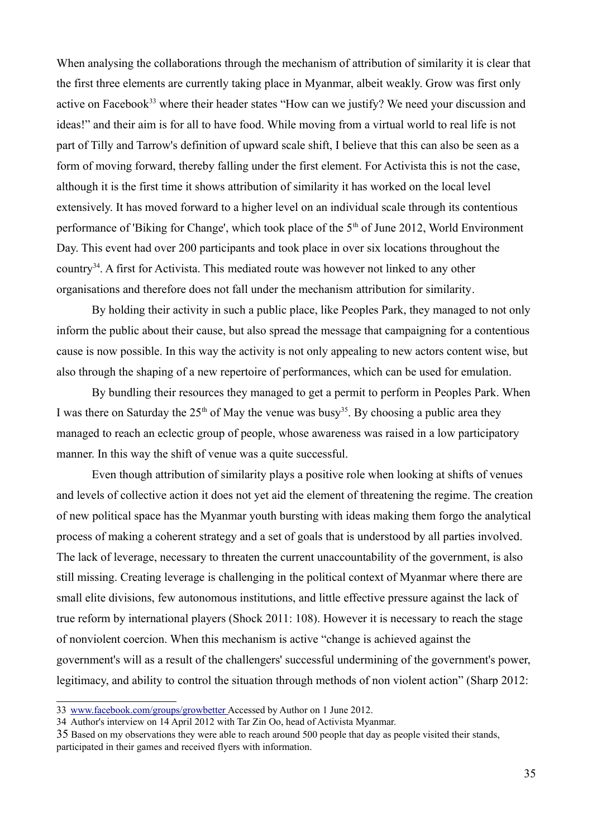When analysing the collaborations through the mechanism of attribution of similarity it is clear that the first three elements are currently taking place in Myanmar, albeit weakly. Grow was first only active on Facebook<sup>[33](#page-34-0)</sup> where their header states "How can we justify? We need your discussion and ideas!" and their aim is for all to have food. While moving from a virtual world to real life is not part of Tilly and Tarrow's definition of upward scale shift, I believe that this can also be seen as a form of moving forward, thereby falling under the first element. For Activista this is not the case, although it is the first time it shows attribution of similarity it has worked on the local level extensively. It has moved forward to a higher level on an individual scale through its contentious performance of 'Biking for Change', which took place of the 5<sup>th</sup> of June 2012, World Environment Day. This event had over 200 participants and took place in over six locations throughout the country[34](#page-34-1). A first for Activista. This mediated route was however not linked to any other organisations and therefore does not fall under the mechanism attribution for similarity.

By holding their activity in such a public place, like Peoples Park, they managed to not only inform the public about their cause, but also spread the message that campaigning for a contentious cause is now possible. In this way the activity is not only appealing to new actors content wise, but also through the shaping of a new repertoire of performances, which can be used for emulation.

By bundling their resources they managed to get a permit to perform in Peoples Park. When I was there on Saturday the  $25<sup>th</sup>$  of May the venue was busy<sup>[35](#page-34-2)</sup>. By choosing a public area they managed to reach an eclectic group of people, whose awareness was raised in a low participatory manner. In this way the shift of venue was a quite successful.

Even though attribution of similarity plays a positive role when looking at shifts of venues and levels of collective action it does not yet aid the element of threatening the regime. The creation of new political space has the Myanmar youth bursting with ideas making them forgo the analytical process of making a coherent strategy and a set of goals that is understood by all parties involved. The lack of leverage, necessary to threaten the current unaccountability of the government, is also still missing. Creating leverage is challenging in the political context of Myanmar where there are small elite divisions, few autonomous institutions, and little effective pressure against the lack of true reform by international players (Shock 2011: 108). However it is necessary to reach the stage of nonviolent coercion. When this mechanism is active "change is achieved against the government's will as a result of the challengers' successful undermining of the government's power, legitimacy, and ability to control the situation through methods of non violent action" (Sharp 2012:

<span id="page-34-0"></span><sup>33</sup> [www.facebook.com/groups/growbetter](http://www.facebook.com/groups/growbetter) Accessed by Author on 1 June 2012.

<span id="page-34-1"></span><sup>34</sup> Author's interview on 14 April 2012 with Tar Zin Oo, head of Activista Myanmar.

<span id="page-34-2"></span><sup>35</sup> Based on my observations they were able to reach around 500 people that day as people visited their stands, participated in their games and received flyers with information.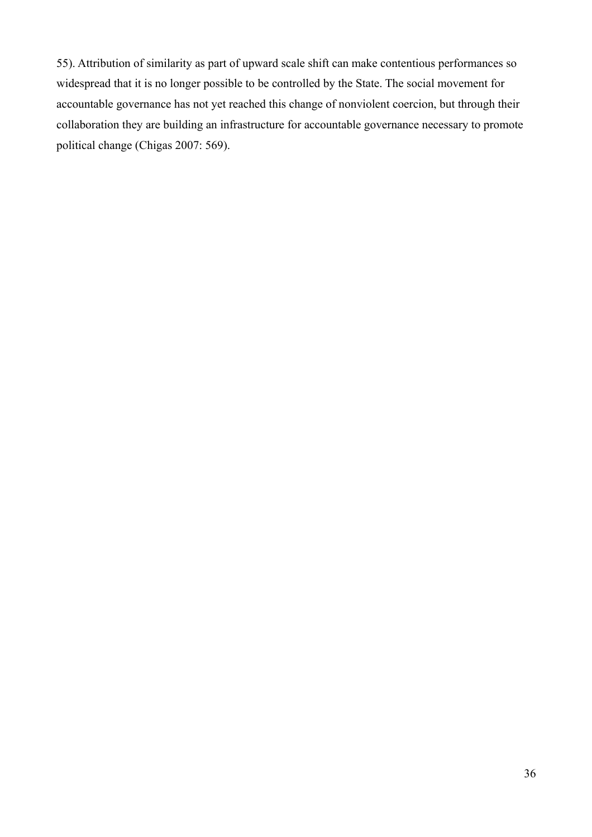55). Attribution of similarity as part of upward scale shift can make contentious performances so widespread that it is no longer possible to be controlled by the State. The social movement for accountable governance has not yet reached this change of nonviolent coercion, but through their collaboration they are building an infrastructure for accountable governance necessary to promote political change (Chigas 2007: 569).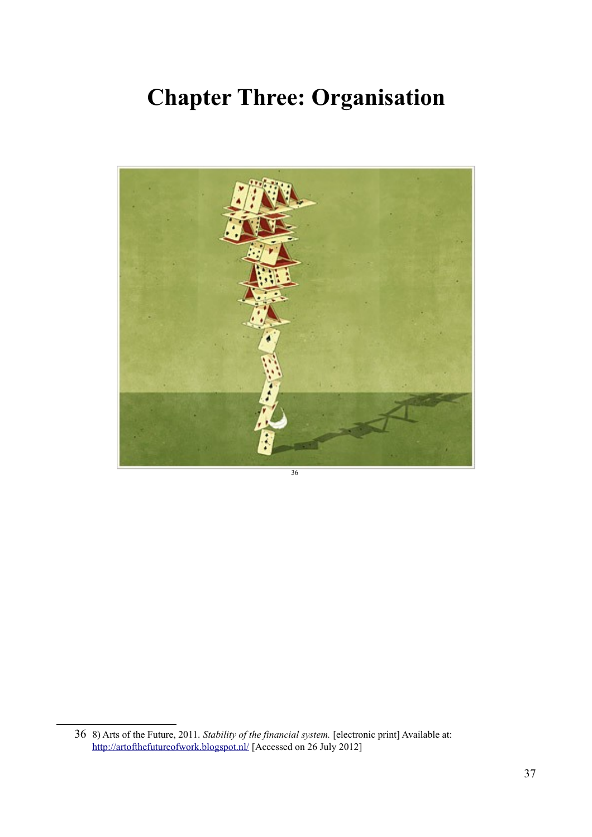# **Chapter Three: Organisation**



[36](#page-36-0)

<span id="page-36-0"></span><sup>36</sup> 8) Arts of the Future, 2011. *Stability of the financial system.* [electronic print] Available at: <http://artofthefutureofwork.blogspot.nl/>[Accessed on 26 July 2012]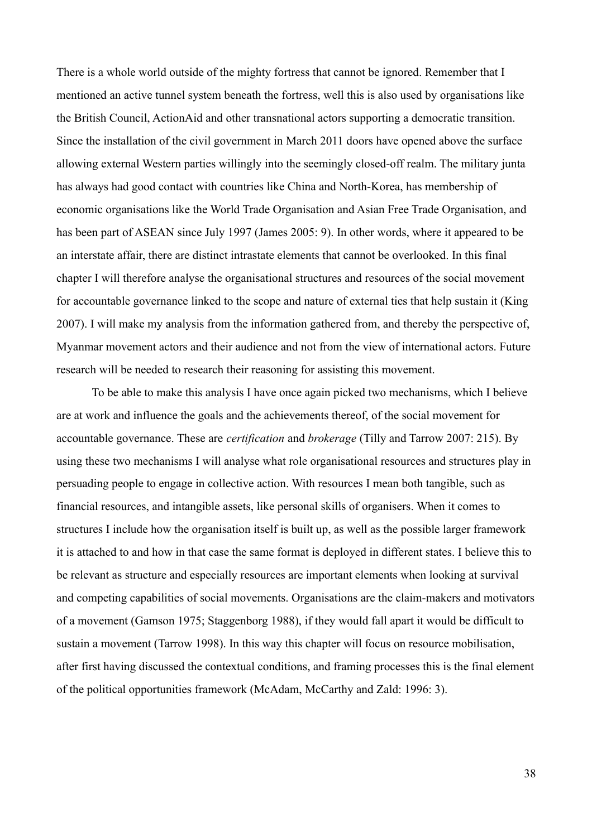There is a whole world outside of the mighty fortress that cannot be ignored. Remember that I mentioned an active tunnel system beneath the fortress, well this is also used by organisations like the British Council, ActionAid and other transnational actors supporting a democratic transition. Since the installation of the civil government in March 2011 doors have opened above the surface allowing external Western parties willingly into the seemingly closed-off realm. The military junta has always had good contact with countries like China and North-Korea, has membership of economic organisations like the World Trade Organisation and Asian Free Trade Organisation, and has been part of ASEAN since July 1997 (James 2005: 9). In other words, where it appeared to be an interstate affair, there are distinct intrastate elements that cannot be overlooked. In this final chapter I will therefore analyse the organisational structures and resources of the social movement for accountable governance linked to the scope and nature of external ties that help sustain it (King 2007). I will make my analysis from the information gathered from, and thereby the perspective of, Myanmar movement actors and their audience and not from the view of international actors. Future research will be needed to research their reasoning for assisting this movement.

To be able to make this analysis I have once again picked two mechanisms, which I believe are at work and influence the goals and the achievements thereof, of the social movement for accountable governance. These are *certification* and *brokerage* (Tilly and Tarrow 2007: 215). By using these two mechanisms I will analyse what role organisational resources and structures play in persuading people to engage in collective action. With resources I mean both tangible, such as financial resources, and intangible assets, like personal skills of organisers. When it comes to structures I include how the organisation itself is built up, as well as the possible larger framework it is attached to and how in that case the same format is deployed in different states. I believe this to be relevant as structure and especially resources are important elements when looking at survival and competing capabilities of social movements. Organisations are the claim-makers and motivators of a movement (Gamson 1975; Staggenborg 1988), if they would fall apart it would be difficult to sustain a movement (Tarrow 1998). In this way this chapter will focus on resource mobilisation, after first having discussed the contextual conditions, and framing processes this is the final element of the political opportunities framework (McAdam, McCarthy and Zald: 1996: 3).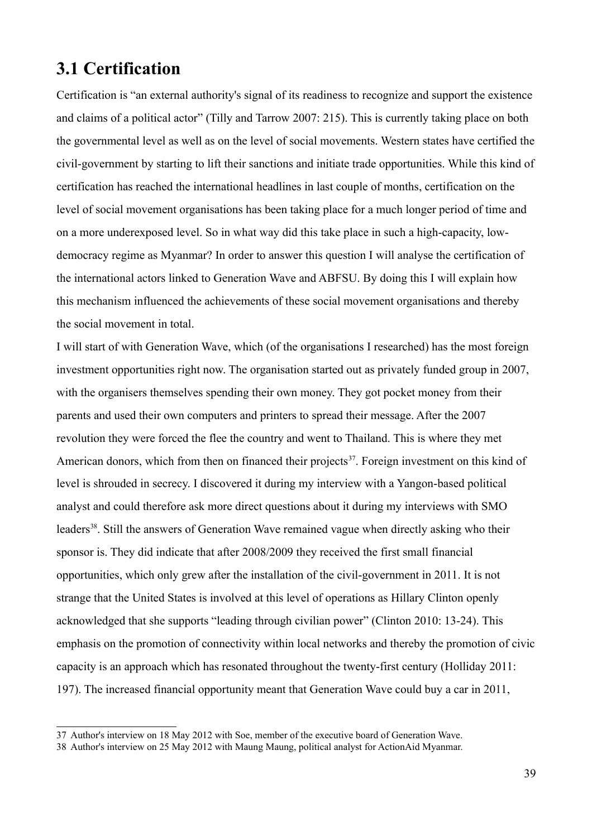# **3.1 Certification**

Certification is "an external authority's signal of its readiness to recognize and support the existence and claims of a political actor" (Tilly and Tarrow 2007: 215). This is currently taking place on both the governmental level as well as on the level of social movements. Western states have certified the civil-government by starting to lift their sanctions and initiate trade opportunities. While this kind of certification has reached the international headlines in last couple of months, certification on the level of social movement organisations has been taking place for a much longer period of time and on a more underexposed level. So in what way did this take place in such a high-capacity, lowdemocracy regime as Myanmar? In order to answer this question I will analyse the certification of the international actors linked to Generation Wave and ABFSU. By doing this I will explain how this mechanism influenced the achievements of these social movement organisations and thereby the social movement in total.

I will start of with Generation Wave, which (of the organisations I researched) has the most foreign investment opportunities right now. The organisation started out as privately funded group in 2007, with the organisers themselves spending their own money. They got pocket money from their parents and used their own computers and printers to spread their message. After the 2007 revolution they were forced the flee the country and went to Thailand. This is where they met American donors, which from then on financed their projects<sup>[37](#page-38-0)</sup>. Foreign investment on this kind of level is shrouded in secrecy. I discovered it during my interview with a Yangon-based political analyst and could therefore ask more direct questions about it during my interviews with SMO leaders<sup>[38](#page-38-1)</sup>. Still the answers of Generation Wave remained vague when directly asking who their sponsor is. They did indicate that after 2008/2009 they received the first small financial opportunities, which only grew after the installation of the civil-government in 2011. It is not strange that the United States is involved at this level of operations as Hillary Clinton openly acknowledged that she supports "leading through civilian power" (Clinton 2010: 13-24). This emphasis on the promotion of connectivity within local networks and thereby the promotion of civic capacity is an approach which has resonated throughout the twenty-first century (Holliday 2011: 197). The increased financial opportunity meant that Generation Wave could buy a car in 2011,

<span id="page-38-0"></span><sup>37</sup> Author's interview on 18 May 2012 with Soe, member of the executive board of Generation Wave.

<span id="page-38-1"></span><sup>38</sup> Author's interview on 25 May 2012 with Maung Maung, political analyst for ActionAid Myanmar.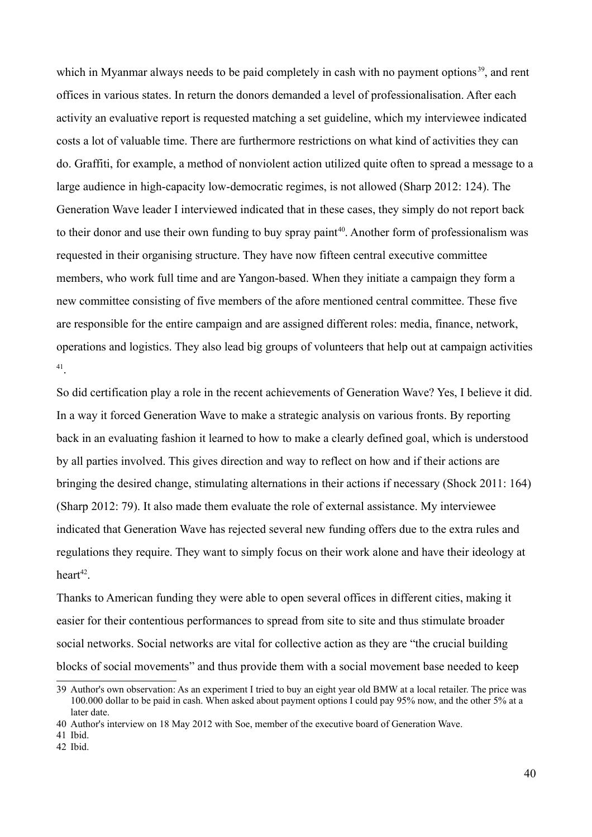which in Myanmar always needs to be paid completely in cash with no payment options<sup>[39](#page-39-0)</sup>, and rent offices in various states. In return the donors demanded a level of professionalisation. After each activity an evaluative report is requested matching a set guideline, which my interviewee indicated costs a lot of valuable time. There are furthermore restrictions on what kind of activities they can do. Graffiti, for example, a method of nonviolent action utilized quite often to spread a message to a large audience in high-capacity low-democratic regimes, is not allowed (Sharp 2012: 124). The Generation Wave leader I interviewed indicated that in these cases, they simply do not report back to their donor and use their own funding to buy spray paint<sup>[40](#page-39-1)</sup>. Another form of professionalism was requested in their organising structure. They have now fifteen central executive committee members, who work full time and are Yangon-based. When they initiate a campaign they form a new committee consisting of five members of the afore mentioned central committee. These five are responsible for the entire campaign and are assigned different roles: media, finance, network, operations and logistics. They also lead big groups of volunteers that help out at campaign activities [41](#page-39-2) .

So did certification play a role in the recent achievements of Generation Wave? Yes, I believe it did. In a way it forced Generation Wave to make a strategic analysis on various fronts. By reporting back in an evaluating fashion it learned to how to make a clearly defined goal, which is understood by all parties involved. This gives direction and way to reflect on how and if their actions are bringing the desired change, stimulating alternations in their actions if necessary (Shock 2011: 164) (Sharp 2012: 79). It also made them evaluate the role of external assistance. My interviewee indicated that Generation Wave has rejected several new funding offers due to the extra rules and regulations they require. They want to simply focus on their work alone and have their ideology at heart<sup>[42](#page-39-3)</sup>.

Thanks to American funding they were able to open several offices in different cities, making it easier for their contentious performances to spread from site to site and thus stimulate broader social networks. Social networks are vital for collective action as they are "the crucial building blocks of social movements" and thus provide them with a social movement base needed to keep

<span id="page-39-0"></span><sup>39</sup> Author's own observation: As an experiment I tried to buy an eight year old BMW at a local retailer. The price was 100.000 dollar to be paid in cash. When asked about payment options I could pay 95% now, and the other 5% at a later date.

<span id="page-39-1"></span><sup>40</sup> Author's interview on 18 May 2012 with Soe, member of the executive board of Generation Wave.

<span id="page-39-2"></span><sup>41</sup> Ibid.

<span id="page-39-3"></span><sup>42</sup> Ibid.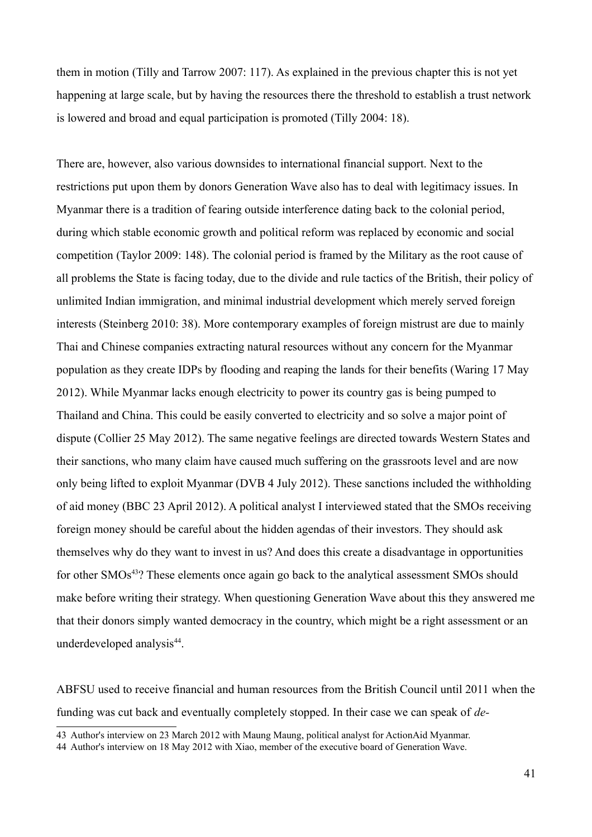them in motion (Tilly and Tarrow 2007: 117). As explained in the previous chapter this is not yet happening at large scale, but by having the resources there the threshold to establish a trust network is lowered and broad and equal participation is promoted (Tilly 2004: 18).

There are, however, also various downsides to international financial support. Next to the restrictions put upon them by donors Generation Wave also has to deal with legitimacy issues. In Myanmar there is a tradition of fearing outside interference dating back to the colonial period, during which stable economic growth and political reform was replaced by economic and social competition (Taylor 2009: 148). The colonial period is framed by the Military as the root cause of all problems the State is facing today, due to the divide and rule tactics of the British, their policy of unlimited Indian immigration, and minimal industrial development which merely served foreign interests (Steinberg 2010: 38). More contemporary examples of foreign mistrust are due to mainly Thai and Chinese companies extracting natural resources without any concern for the Myanmar population as they create IDPs by flooding and reaping the lands for their benefits (Waring 17 May 2012). While Myanmar lacks enough electricity to power its country gas is being pumped to Thailand and China. This could be easily converted to electricity and so solve a major point of dispute (Collier 25 May 2012). The same negative feelings are directed towards Western States and their sanctions, who many claim have caused much suffering on the grassroots level and are now only being lifted to exploit Myanmar (DVB 4 July 2012). These sanctions included the withholding of aid money (BBC 23 April 2012). A political analyst I interviewed stated that the SMOs receiving foreign money should be careful about the hidden agendas of their investors. They should ask themselves why do they want to invest in us? And does this create a disadvantage in opportunities for other SMOs<sup>[43](#page-40-0)</sup>? These elements once again go back to the analytical assessment SMOs should make before writing their strategy. When questioning Generation Wave about this they answered me that their donors simply wanted democracy in the country, which might be a right assessment or an underdeveloped analysis<sup>[44](#page-40-1)</sup>.

ABFSU used to receive financial and human resources from the British Council until 2011 when the funding was cut back and eventually completely stopped. In their case we can speak of *de-*

<span id="page-40-0"></span><sup>43</sup> Author's interview on 23 March 2012 with Maung Maung, political analyst for ActionAid Myanmar.

<span id="page-40-1"></span><sup>44</sup> Author's interview on 18 May 2012 with Xiao, member of the executive board of Generation Wave.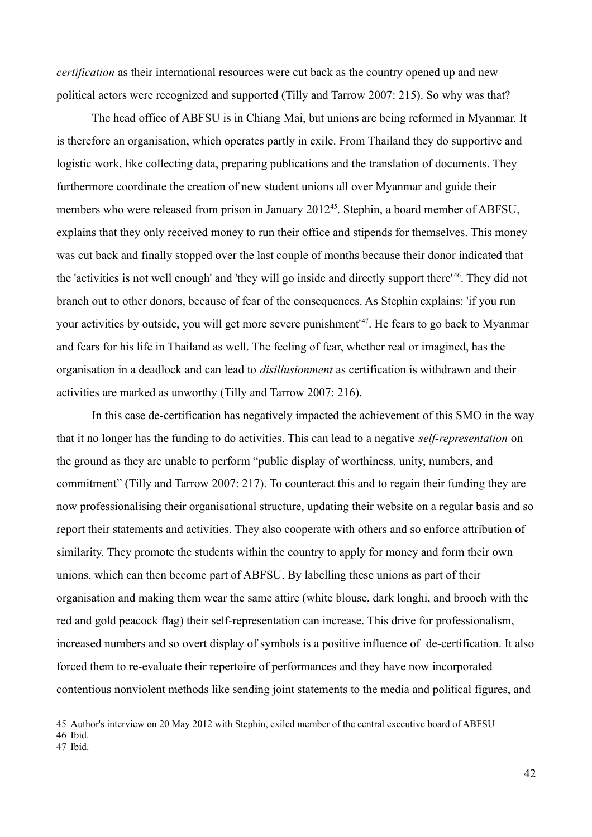*certification* as their international resources were cut back as the country opened up and new political actors were recognized and supported (Tilly and Tarrow 2007: 215). So why was that?

The head office of ABFSU is in Chiang Mai, but unions are being reformed in Myanmar. It is therefore an organisation, which operates partly in exile. From Thailand they do supportive and logistic work, like collecting data, preparing publications and the translation of documents. They furthermore coordinate the creation of new student unions all over Myanmar and guide their members who were released from prison in January 2012<sup>[45](#page-41-0)</sup>. Stephin, a board member of ABFSU, explains that they only received money to run their office and stipends for themselves. This money was cut back and finally stopped over the last couple of months because their donor indicated that the 'activities is not well enough' and 'they will go inside and directly support there'<sup>[46](#page-41-1)</sup>. They did not branch out to other donors, because of fear of the consequences. As Stephin explains: 'if you run your activities by outside, you will get more severe punishment'[47](#page-41-2). He fears to go back to Myanmar and fears for his life in Thailand as well. The feeling of fear, whether real or imagined, has the organisation in a deadlock and can lead to *disillusionment* as certification is withdrawn and their activities are marked as unworthy (Tilly and Tarrow 2007: 216).

In this case de-certification has negatively impacted the achievement of this SMO in the way that it no longer has the funding to do activities. This can lead to a negative *self-representation* on the ground as they are unable to perform "public display of worthiness, unity, numbers, and commitment" (Tilly and Tarrow 2007: 217). To counteract this and to regain their funding they are now professionalising their organisational structure, updating their website on a regular basis and so report their statements and activities. They also cooperate with others and so enforce attribution of similarity. They promote the students within the country to apply for money and form their own unions, which can then become part of ABFSU. By labelling these unions as part of their organisation and making them wear the same attire (white blouse, dark longhi, and brooch with the red and gold peacock flag) their self-representation can increase. This drive for professionalism, increased numbers and so overt display of symbols is a positive influence of de-certification. It also forced them to re-evaluate their repertoire of performances and they have now incorporated contentious nonviolent methods like sending joint statements to the media and political figures, and

<span id="page-41-0"></span><sup>45</sup> Author's interview on 20 May 2012 with Stephin, exiled member of the central executive board of ABFSU 46 Ibid.

<span id="page-41-2"></span><span id="page-41-1"></span><sup>47</sup> Ibid.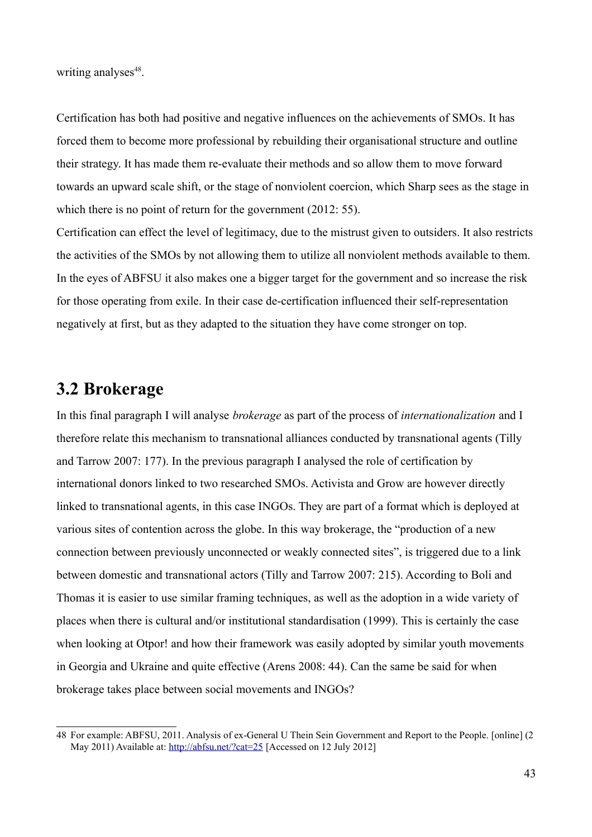writing analyses<sup>[48](#page-42-0)</sup>.

Certification has both had positive and negative influences on the achievements of SMOs. It has forced them to become more professional by rebuilding their organisational structure and outline their strategy. It has made them re-evaluate their methods and so allow them to move forward towards an upward scale shift, or the stage of nonviolent coercion, which Sharp sees as the stage in which there is no point of return for the government (2012: 55).

Certification can effect the level of legitimacy, due to the mistrust given to outsiders. It also restricts the activities of the SMOs by not allowing them to utilize all nonviolent methods available to them. In the eyes of ABFSU it also makes one a bigger target for the government and so increase the risk for those operating from exile. In their case de-certification influenced their self-representation negatively at first, but as they adapted to the situation they have come stronger on top.

## **3.2 Brokerage**

In this final paragraph I will analyse *brokerage* as part of the process of *internationalization* and I therefore relate this mechanism to transnational alliances conducted by transnational agents (Tilly and Tarrow 2007: 177). In the previous paragraph I analysed the role of certification by international donors linked to two researched SMOs. Activista and Grow are however directly linked to transnational agents, in this case INGOs. They are part of a format which is deployed at various sites of contention across the globe. In this way brokerage, the "production of a new connection between previously unconnected or weakly connected sites", is triggered due to a link between domestic and transnational actors (Tilly and Tarrow 2007: 215). According to Boli and Thomas it is easier to use similar framing techniques, as well as the adoption in a wide variety of places when there is cultural and/or institutional standardisation (1999). This is certainly the case when looking at Otpor! and how their framework was easily adopted by similar youth movements in Georgia and Ukraine and quite effective (Arens 2008: 44). Can the same be said for when brokerage takes place between social movements and INGOs?

<span id="page-42-0"></span><sup>48</sup> For example: ABFSU, 2011. Analysis of ex-General U Thein Sein Government and Report to the People. [online] (2 May 2011) Available at:<http://abfsu.net/?cat=25>[Accessed on 12 July 2012]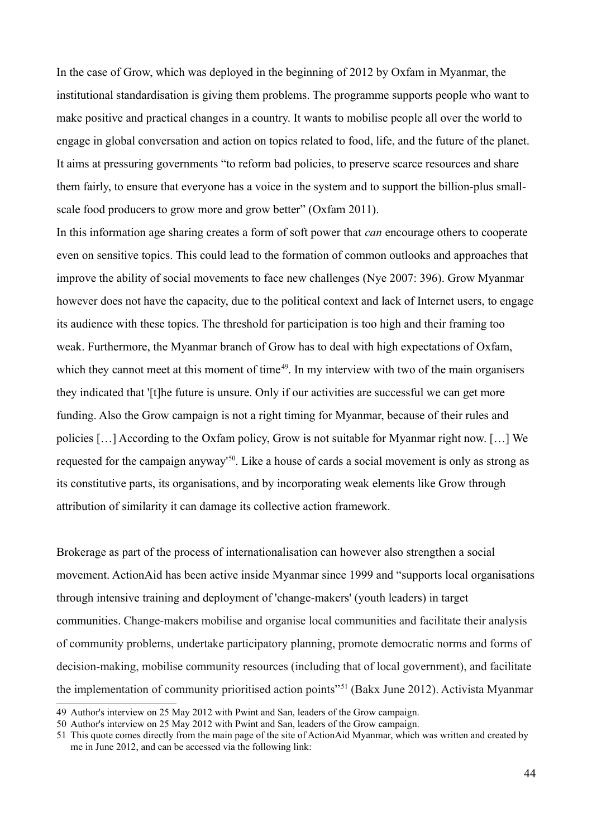In the case of Grow, which was deployed in the beginning of 2012 by Oxfam in Myanmar, the institutional standardisation is giving them problems. The programme supports people who want to make positive and practical changes in a country. It wants to mobilise people all over the world to engage in global conversation and action on topics related to food, life, and the future of the planet. It aims at pressuring governments "to reform bad policies, to preserve scarce resources and share them fairly, to ensure that everyone has a voice in the system and to support the billion-plus smallscale food producers to grow more and grow better" (Oxfam 2011).

In this information age sharing creates a form of soft power that *can* encourage others to cooperate even on sensitive topics. This could lead to the formation of common outlooks and approaches that improve the ability of social movements to face new challenges (Nye 2007: 396). Grow Myanmar however does not have the capacity, due to the political context and lack of Internet users, to engage its audience with these topics. The threshold for participation is too high and their framing too weak. Furthermore, the Myanmar branch of Grow has to deal with high expectations of Oxfam, which they cannot meet at this moment of time<sup>[49](#page-43-0)</sup>. In my interview with two of the main organisers they indicated that '[t]he future is unsure. Only if our activities are successful we can get more funding. Also the Grow campaign is not a right timing for Myanmar, because of their rules and policies […] According to the Oxfam policy, Grow is not suitable for Myanmar right now. […] We requested for the campaign anyway'[50](#page-43-1). Like a house of cards a social movement is only as strong as its constitutive parts, its organisations, and by incorporating weak elements like Grow through attribution of similarity it can damage its collective action framework.

Brokerage as part of the process of internationalisation can however also strengthen a social movement. ActionAid has been active inside Myanmar since 1999 and "supports local organisations through intensive training and deployment of 'change-makers' (youth leaders) in target communities. Change-makers mobilise and organise local communities and facilitate their analysis of community problems, undertake participatory planning, promote democratic norms and forms of decision-making, mobilise community resources (including that of local government), and facilitate the implementation of community prioritised action points<sup>"[51](#page-43-2)</sup> (Bakx June 2012). Activista Myanmar

<span id="page-43-0"></span><sup>49</sup> Author's interview on 25 May 2012 with Pwint and San, leaders of the Grow campaign.

<span id="page-43-1"></span><sup>50</sup> Author's interview on 25 May 2012 with Pwint and San, leaders of the Grow campaign.

<span id="page-43-2"></span><sup>51</sup> This quote comes directly from the main page of the site of ActionAid Myanmar, which was written and created by me in June 2012, and can be accessed via the following link: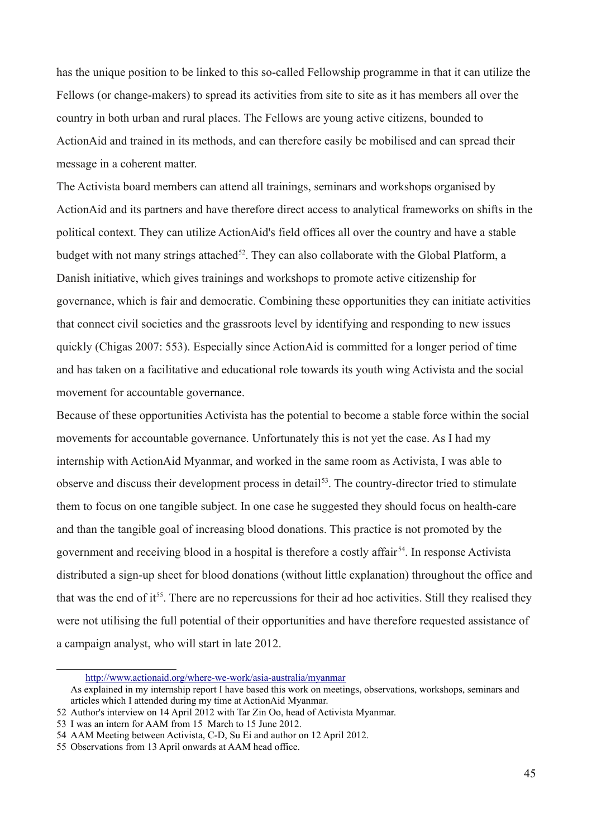has the unique position to be linked to this so-called Fellowship programme in that it can utilize the Fellows (or change-makers) to spread its activities from site to site as it has members all over the country in both urban and rural places. The Fellows are young active citizens, bounded to ActionAid and trained in its methods, and can therefore easily be mobilised and can spread their message in a coherent matter.

The Activista board members can attend all trainings, seminars and workshops organised by ActionAid and its partners and have therefore direct access to analytical frameworks on shifts in the political context. They can utilize ActionAid's field offices all over the country and have a stable budget with not many strings attached<sup>[52](#page-44-0)</sup>. They can also collaborate with the Global Platform, a Danish initiative, which gives trainings and workshops to promote active citizenship for governance, which is fair and democratic. Combining these opportunities they can initiate activities that connect civil societies and the grassroots level by identifying and responding to new issues quickly (Chigas 2007: 553). Especially since ActionAid is committed for a longer period of time and has taken on a facilitative and educational role towards its youth wing Activista and the social movement for accountable governance.

Because of these opportunities Activista has the potential to become a stable force within the social movements for accountable governance. Unfortunately this is not yet the case. As I had my internship with ActionAid Myanmar, and worked in the same room as Activista, I was able to observe and discuss their development process in detail<sup>[53](#page-44-1)</sup>. The country-director tried to stimulate them to focus on one tangible subject. In one case he suggested they should focus on health-care and than the tangible goal of increasing blood donations. This practice is not promoted by the government and receiving blood in a hospital is therefore a costly affair<sup>[54](#page-44-2)</sup>. In response Activista distributed a sign-up sheet for blood donations (without little explanation) throughout the office and that was the end of it<sup>[55](#page-44-3)</sup>. There are no repercussions for their ad hoc activities. Still they realised they were not utilising the full potential of their opportunities and have therefore requested assistance of a campaign analyst, who will start in late 2012.

<http://www.actionaid.org/where-we-work/asia-australia/myanmar>

As explained in my internship report I have based this work on meetings, observations, workshops, seminars and articles which I attended during my time at ActionAid Myanmar.

<span id="page-44-0"></span><sup>52</sup> Author's interview on 14 April 2012 with Tar Zin Oo, head of Activista Myanmar.

<span id="page-44-1"></span><sup>53</sup> I was an intern for AAM from 15 March to 15 June 2012.

<span id="page-44-2"></span><sup>54</sup> AAM Meeting between Activista, C-D, Su Ei and author on 12 April 2012.

<span id="page-44-3"></span><sup>55</sup> Observations from 13 April onwards at AAM head office.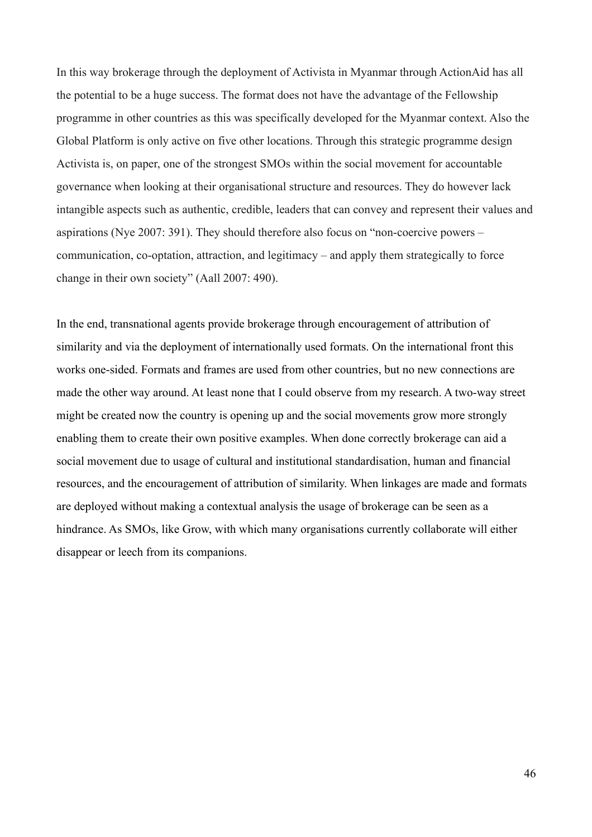In this way brokerage through the deployment of Activista in Myanmar through ActionAid has all the potential to be a huge success. The format does not have the advantage of the Fellowship programme in other countries as this was specifically developed for the Myanmar context. Also the Global Platform is only active on five other locations. Through this strategic programme design Activista is, on paper, one of the strongest SMOs within the social movement for accountable governance when looking at their organisational structure and resources. They do however lack intangible aspects such as authentic, credible, leaders that can convey and represent their values and aspirations (Nye 2007: 391). They should therefore also focus on "non-coercive powers – communication, co-optation, attraction, and legitimacy – and apply them strategically to force change in their own society" (Aall 2007: 490).

In the end, transnational agents provide brokerage through encouragement of attribution of similarity and via the deployment of internationally used formats. On the international front this works one-sided. Formats and frames are used from other countries, but no new connections are made the other way around. At least none that I could observe from my research. A two-way street might be created now the country is opening up and the social movements grow more strongly enabling them to create their own positive examples. When done correctly brokerage can aid a social movement due to usage of cultural and institutional standardisation, human and financial resources, and the encouragement of attribution of similarity. When linkages are made and formats are deployed without making a contextual analysis the usage of brokerage can be seen as a hindrance. As SMOs, like Grow, with which many organisations currently collaborate will either disappear or leech from its companions.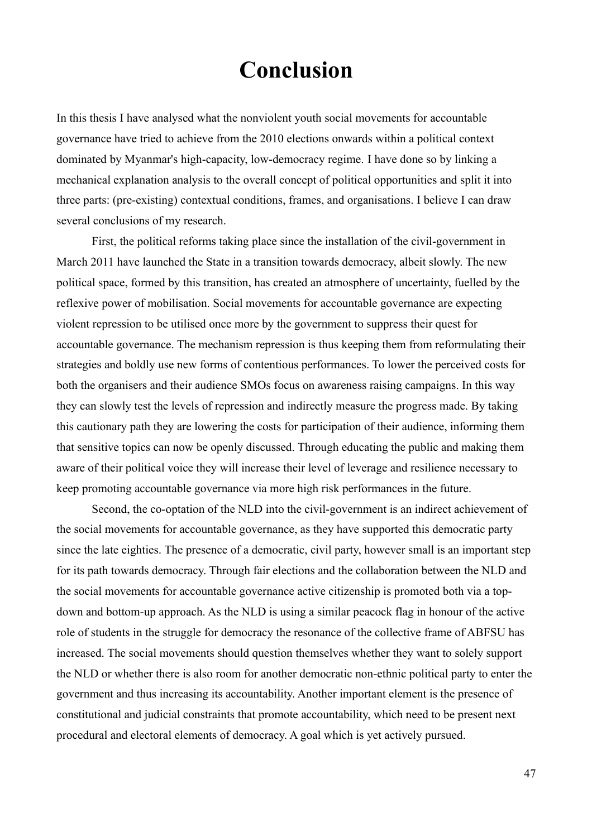# **Conclusion**

In this thesis I have analysed what the nonviolent youth social movements for accountable governance have tried to achieve from the 2010 elections onwards within a political context dominated by Myanmar's high-capacity, low-democracy regime. I have done so by linking a mechanical explanation analysis to the overall concept of political opportunities and split it into three parts: (pre-existing) contextual conditions, frames, and organisations. I believe I can draw several conclusions of my research.

First, the political reforms taking place since the installation of the civil-government in March 2011 have launched the State in a transition towards democracy, albeit slowly. The new political space, formed by this transition, has created an atmosphere of uncertainty, fuelled by the reflexive power of mobilisation. Social movements for accountable governance are expecting violent repression to be utilised once more by the government to suppress their quest for accountable governance. The mechanism repression is thus keeping them from reformulating their strategies and boldly use new forms of contentious performances. To lower the perceived costs for both the organisers and their audience SMOs focus on awareness raising campaigns. In this way they can slowly test the levels of repression and indirectly measure the progress made. By taking this cautionary path they are lowering the costs for participation of their audience, informing them that sensitive topics can now be openly discussed. Through educating the public and making them aware of their political voice they will increase their level of leverage and resilience necessary to keep promoting accountable governance via more high risk performances in the future.

Second, the co-optation of the NLD into the civil-government is an indirect achievement of the social movements for accountable governance, as they have supported this democratic party since the late eighties. The presence of a democratic, civil party, however small is an important step for its path towards democracy. Through fair elections and the collaboration between the NLD and the social movements for accountable governance active citizenship is promoted both via a topdown and bottom-up approach. As the NLD is using a similar peacock flag in honour of the active role of students in the struggle for democracy the resonance of the collective frame of ABFSU has increased. The social movements should question themselves whether they want to solely support the NLD or whether there is also room for another democratic non-ethnic political party to enter the government and thus increasing its accountability. Another important element is the presence of constitutional and judicial constraints that promote accountability, which need to be present next procedural and electoral elements of democracy. A goal which is yet actively pursued.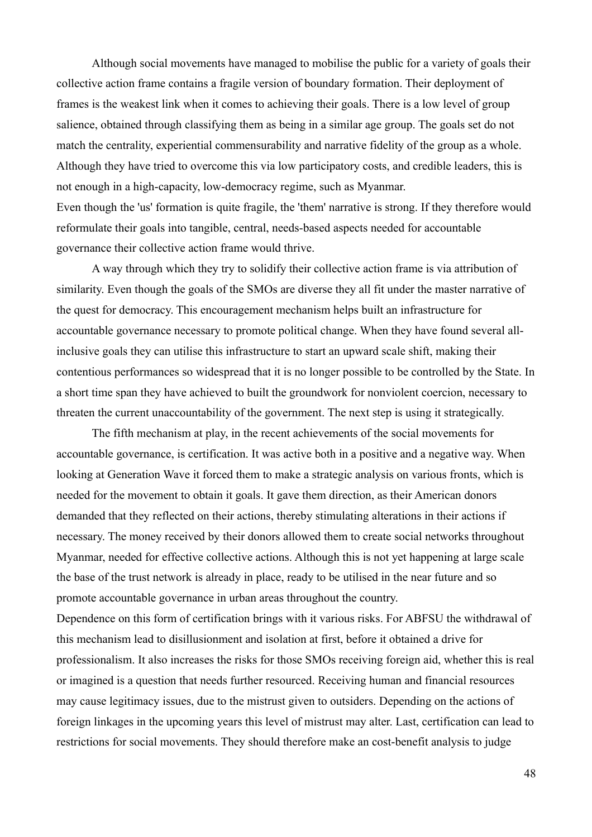Although social movements have managed to mobilise the public for a variety of goals their collective action frame contains a fragile version of boundary formation. Their deployment of frames is the weakest link when it comes to achieving their goals. There is a low level of group salience, obtained through classifying them as being in a similar age group. The goals set do not match the centrality, experiential commensurability and narrative fidelity of the group as a whole. Although they have tried to overcome this via low participatory costs, and credible leaders, this is not enough in a high-capacity, low-democracy regime, such as Myanmar. Even though the 'us' formation is quite fragile, the 'them' narrative is strong. If they therefore would reformulate their goals into tangible, central, needs-based aspects needed for accountable governance their collective action frame would thrive.

A way through which they try to solidify their collective action frame is via attribution of similarity. Even though the goals of the SMOs are diverse they all fit under the master narrative of the quest for democracy. This encouragement mechanism helps built an infrastructure for accountable governance necessary to promote political change. When they have found several allinclusive goals they can utilise this infrastructure to start an upward scale shift, making their contentious performances so widespread that it is no longer possible to be controlled by the State. In a short time span they have achieved to built the groundwork for nonviolent coercion, necessary to threaten the current unaccountability of the government. The next step is using it strategically.

The fifth mechanism at play, in the recent achievements of the social movements for accountable governance, is certification. It was active both in a positive and a negative way. When looking at Generation Wave it forced them to make a strategic analysis on various fronts, which is needed for the movement to obtain it goals. It gave them direction, as their American donors demanded that they reflected on their actions, thereby stimulating alterations in their actions if necessary. The money received by their donors allowed them to create social networks throughout Myanmar, needed for effective collective actions. Although this is not yet happening at large scale the base of the trust network is already in place, ready to be utilised in the near future and so promote accountable governance in urban areas throughout the country.

Dependence on this form of certification brings with it various risks. For ABFSU the withdrawal of this mechanism lead to disillusionment and isolation at first, before it obtained a drive for professionalism. It also increases the risks for those SMOs receiving foreign aid, whether this is real or imagined is a question that needs further resourced. Receiving human and financial resources may cause legitimacy issues, due to the mistrust given to outsiders. Depending on the actions of foreign linkages in the upcoming years this level of mistrust may alter. Last, certification can lead to restrictions for social movements. They should therefore make an cost-benefit analysis to judge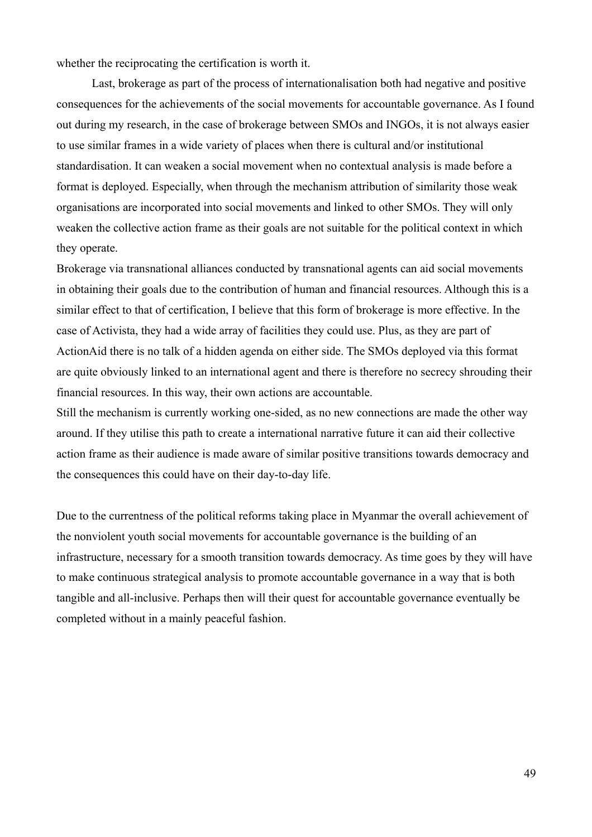whether the reciprocating the certification is worth it.

Last, brokerage as part of the process of internationalisation both had negative and positive consequences for the achievements of the social movements for accountable governance. As I found out during my research, in the case of brokerage between SMOs and INGOs, it is not always easier to use similar frames in a wide variety of places when there is cultural and/or institutional standardisation. It can weaken a social movement when no contextual analysis is made before a format is deployed. Especially, when through the mechanism attribution of similarity those weak organisations are incorporated into social movements and linked to other SMOs. They will only weaken the collective action frame as their goals are not suitable for the political context in which they operate.

Brokerage via transnational alliances conducted by transnational agents can aid social movements in obtaining their goals due to the contribution of human and financial resources. Although this is a similar effect to that of certification, I believe that this form of brokerage is more effective. In the case of Activista, they had a wide array of facilities they could use. Plus, as they are part of ActionAid there is no talk of a hidden agenda on either side. The SMOs deployed via this format are quite obviously linked to an international agent and there is therefore no secrecy shrouding their financial resources. In this way, their own actions are accountable.

Still the mechanism is currently working one-sided, as no new connections are made the other way around. If they utilise this path to create a international narrative future it can aid their collective action frame as their audience is made aware of similar positive transitions towards democracy and the consequences this could have on their day-to-day life.

Due to the currentness of the political reforms taking place in Myanmar the overall achievement of the nonviolent youth social movements for accountable governance is the building of an infrastructure, necessary for a smooth transition towards democracy. As time goes by they will have to make continuous strategical analysis to promote accountable governance in a way that is both tangible and all-inclusive. Perhaps then will their quest for accountable governance eventually be completed without in a mainly peaceful fashion.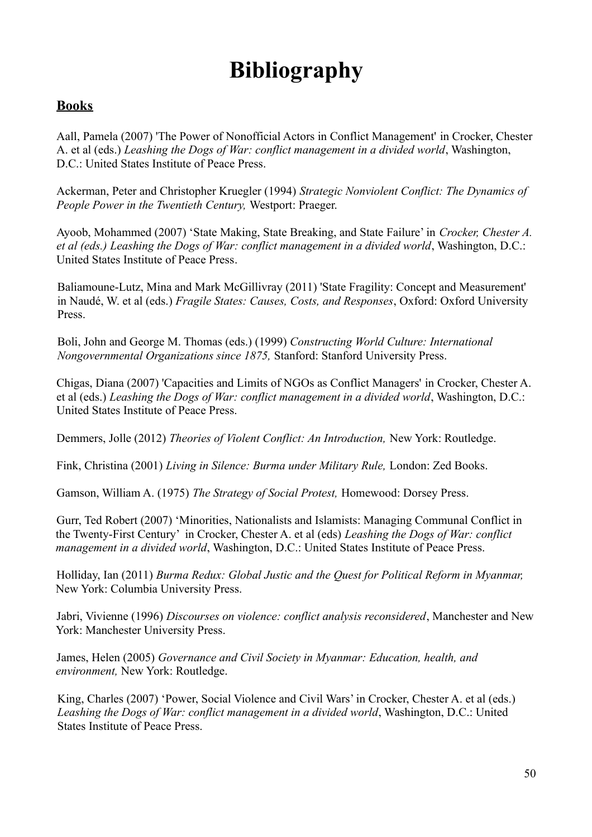# **Bibliography**

#### **Books**

Aall, Pamela (2007) 'The Power of Nonofficial Actors in Conflict Management' in Crocker, Chester A. et al (eds.) *Leashing the Dogs of War: conflict management in a divided world*, Washington, D.C.: United States Institute of Peace Press.

Ackerman, Peter and Christopher Kruegler (1994) *Strategic Nonviolent Conflict: The Dynamics of People Power in the Twentieth Century,* Westport: Praeger.

Ayoob, Mohammed (2007) 'State Making, State Breaking, and State Failure' in *Crocker, Chester A. et al (eds.) Leashing the Dogs of War: conflict management in a divided world*, Washington, D.C.: United States Institute of Peace Press.

Baliamoune-Lutz, Mina and Mark McGillivray (2011) 'State Fragility: Concept and Measurement' in Naudé, W. et al (eds.) *Fragile States: Causes, Costs, and Responses*, Oxford: Oxford University Press.

Boli, John and George M. Thomas (eds.) (1999) *Constructing World Culture: International Nongovernmental Organizations since 1875,* Stanford: Stanford University Press.

Chigas, Diana (2007) 'Capacities and Limits of NGOs as Conflict Managers' in Crocker, Chester A. et al (eds.) *Leashing the Dogs of War: conflict management in a divided world*, Washington, D.C.: United States Institute of Peace Press.

Demmers, Jolle (2012) *Theories of Violent Conflict: An Introduction,* New York: Routledge.

Fink, Christina (2001) *Living in Silence: Burma under Military Rule,* London: Zed Books.

Gamson, William A. (1975) *The Strategy of Social Protest,* Homewood: Dorsey Press.

Gurr, Ted Robert (2007) 'Minorities, Nationalists and Islamists: Managing Communal Conflict in the Twenty-First Century' in Crocker, Chester A. et al (eds) *Leashing the Dogs of War: conflict management in a divided world*, Washington, D.C.: United States Institute of Peace Press.

Holliday, Ian (2011) *Burma Redux: Global Justic and the Quest for Political Reform in Myanmar,* New York: Columbia University Press.

Jabri, Vivienne (1996) *Discourses on violence: conflict analysis reconsidered*, Manchester and New York: Manchester University Press.

James, Helen (2005) *Governance and Civil Society in Myanmar: Education, health, and environment,* New York: Routledge.

King, Charles (2007) 'Power, Social Violence and Civil Wars' in Crocker, Chester A. et al (eds.) *Leashing the Dogs of War: conflict management in a divided world*, Washington, D.C.: United States Institute of Peace Press.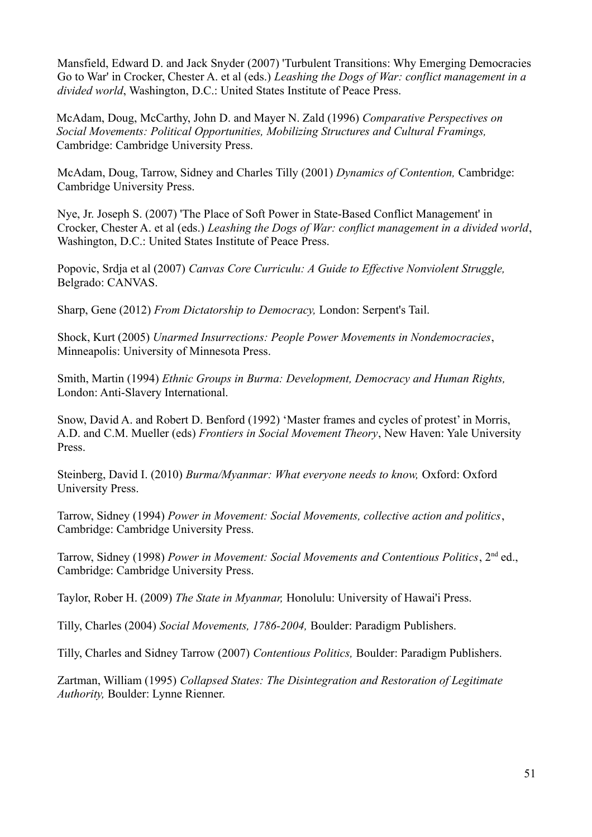Mansfield, Edward D. and Jack Snyder (2007) 'Turbulent Transitions: Why Emerging Democracies Go to War' in Crocker, Chester A. et al (eds.) *Leashing the Dogs of War: conflict management in a divided world*, Washington, D.C.: United States Institute of Peace Press.

McAdam, Doug, McCarthy, John D. and Mayer N. Zald (1996) *Comparative Perspectives on Social Movements: Political Opportunities, Mobilizing Structures and Cultural Framings,* Cambridge: Cambridge University Press.

McAdam, Doug, Tarrow, Sidney and Charles Tilly (2001) *Dynamics of Contention,* Cambridge: Cambridge University Press.

Nye, Jr. Joseph S. (2007) 'The Place of Soft Power in State-Based Conflict Management' in Crocker, Chester A. et al (eds.) *Leashing the Dogs of War: conflict management in a divided world*, Washington, D.C.: United States Institute of Peace Press.

Popovic, Srdja et al (2007) *Canvas Core Curriculu: A Guide to Effective Nonviolent Struggle,* Belgrado: CANVAS.

Sharp, Gene (2012) *From Dictatorship to Democracy,* London: Serpent's Tail.

Shock, Kurt (2005) *Unarmed Insurrections: People Power Movements in Nondemocracies*, Minneapolis: University of Minnesota Press.

Smith, Martin (1994) *Ethnic Groups in Burma: Development, Democracy and Human Rights,* London: Anti-Slavery International.

Snow, David A. and Robert D. Benford (1992) 'Master frames and cycles of protest' in Morris, A.D. and C.M. Mueller (eds) *Frontiers in Social Movement Theory*, New Haven: Yale University Press.

Steinberg, David I. (2010) *Burma/Myanmar: What everyone needs to know,* Oxford: Oxford University Press.

Tarrow, Sidney (1994) *Power in Movement: Social Movements, collective action and politics*, Cambridge: Cambridge University Press.

Tarrow, Sidney (1998) *Power in Movement: Social Movements and Contentious Politics*, 2nd ed., Cambridge: Cambridge University Press.

Taylor, Rober H. (2009) *The State in Myanmar,* Honolulu: University of Hawai'i Press.

Tilly, Charles (2004) *Social Movements, 1786-2004,* Boulder: Paradigm Publishers.

Tilly, Charles and Sidney Tarrow (2007) *Contentious Politics,* Boulder: Paradigm Publishers.

Zartman, William (1995) *Collapsed States: The Disintegration and Restoration of Legitimate Authority,* Boulder: Lynne Rienner.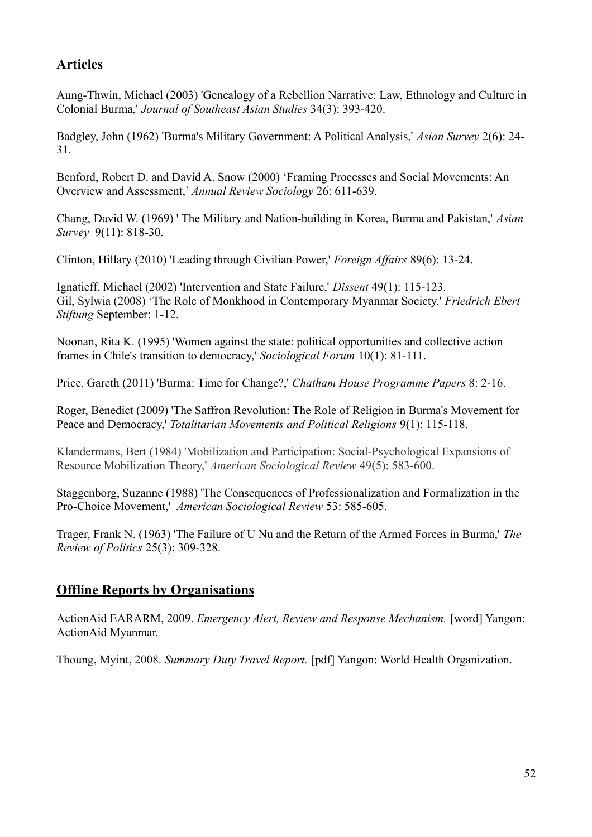### **Articles**

Aung-Thwin, Michael (2003) 'Genealogy of a Rebellion Narrative: Law, Ethnology and Culture in Colonial Burma,' *Journal of Southeast Asian Studies* 34(3): 393-420.

Badgley, John (1962) 'Burma's Military Government: A Political Analysis,' *Asian Survey* 2(6): 24- 31.

Benford, Robert D. and David A. Snow (2000) 'Framing Processes and Social Movements: An Overview and Assessment,' *Annual Review Sociology* 26: 611-639.

Chang, David W. (1969) ' The Military and Nation-building in Korea, Burma and Pakistan,' *Asian Survey* 9(11): 818-30.

Clinton, Hillary (2010) 'Leading through Civilian Power,' *Foreign Affairs* 89(6): 13-24.

Ignatieff, Michael (2002) 'Intervention and State Failure,' *Dissent* 49(1): 115-123. Gil, Sylwia (2008) 'The Role of Monkhood in Contemporary Myanmar Society,' *Friedrich Ebert Stiftung* September: 1-12.

Noonan, Rita K. (1995) 'Women against the state: political opportunities and collective action frames in Chile's transition to democracy,' *Sociological Forum* 10(1): 81-111.

Price, Gareth (2011) 'Burma: Time for Change?,' *Chatham House Programme Papers* 8: 2-16.

Roger, Benedict (2009) 'The Saffron Revolution: The Role of Religion in Burma's Movement for Peace and Democracy,' *Totalitarian Movements and Political Religions* 9(1): 115-118.

Klandermans, Bert (1984) 'Mobilization and Participation: Social-Psychological Expansions of Resource Mobilization Theory,' *American Sociological Review* 49(5): 583-600.

Staggenborg, Suzanne (1988) 'The Consequences of Professionalization and Formalization in the Pro-Choice Movement,' *American Sociological Review* 53: 585-605.

Trager, Frank N. (1963) 'The Failure of U Nu and the Return of the Armed Forces in Burma,' *The Review of Politics* 25(3): 309-328.

### **Offline Reports by Organisations**

ActionAid EARARM, 2009. *Emergency Alert, Review and Response Mechanism.* [word] Yangon: ActionAid Myanmar.

Thoung, Myint, 2008. *Summary Duty Travel Report.* [pdf] Yangon: World Health Organization.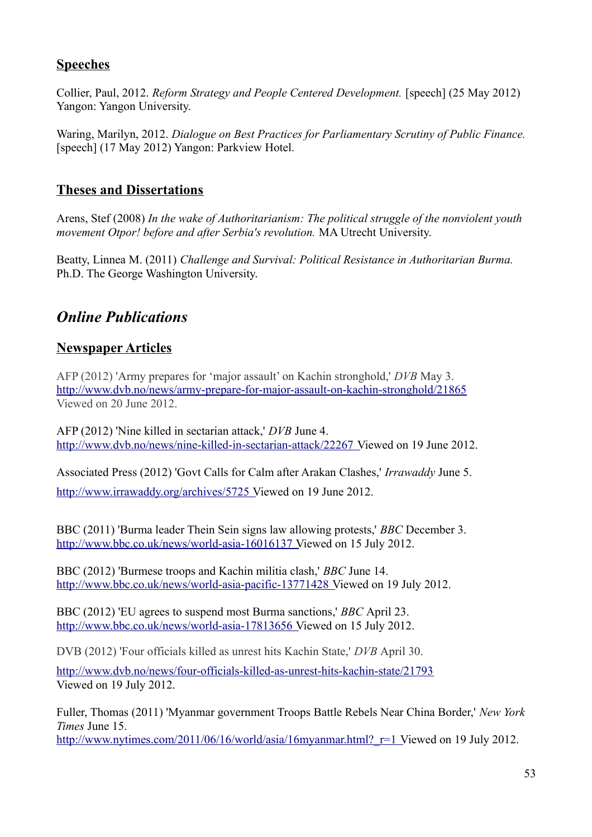### **Speeches**

Collier, Paul, 2012. *Reform Strategy and People Centered Development.* [speech] (25 May 2012) Yangon: Yangon University.

Waring, Marilyn, 2012. *Dialogue on Best Practices for Parliamentary Scrutiny of Public Finance.* [speech] (17 May 2012) Yangon: Parkview Hotel.

### **Theses and Dissertations**

Arens, Stef (2008) *In the wake of Authoritarianism: The political struggle of the nonviolent youth movement Otpor! before and after Serbia's revolution.* MA Utrecht University.

Beatty, Linnea M. (2011) *Challenge and Survival: Political Resistance in Authoritarian Burma.* Ph.D. The George Washington University.

## *Online Publications*

### **Newspaper Articles**

AFP (2012) 'Army prepares for 'major assault' on Kachin stronghold,' *DVB* May 3. <http://www.dvb.no/news/army-prepare-for-major-assault-on-kachin-stronghold/21865> Viewed on 20 June 2012.

AFP (2012) 'Nine killed in sectarian attack,' *DVB* June 4. <http://www.dvb.no/news/nine-killed-in-sectarian-attack/22267>Viewed on 19 June 2012.

Associated Press (2012) 'Govt Calls for Calm after Arakan Clashes,' *Irrawaddy* June 5.

http://www.irrawaddy.org/archives/5725 Viewed on 19 June 2012.

BBC (2011) 'Burma leader Thein Sein signs law allowing protests,' *BBC* December 3. <http://www.bbc.co.uk/news/world-asia-16016137>Viewed on 15 July 2012.

BBC (2012) 'Burmese troops and Kachin militia clash,' *BBC* June 14. <http://www.bbc.co.uk/news/world-asia-pacific-13771428>Viewed on 19 July 2012.

BBC (2012) 'EU agrees to suspend most Burma sanctions,' *BBC* April 23. <http://www.bbc.co.uk/news/world-asia-17813656>Viewed on 15 July 2012.

DVB (2012) 'Four officials killed as unrest hits Kachin State,' *DVB* April 30.

<http://www.dvb.no/news/four-officials-killed-as-unrest-hits-kachin-state/21793> Viewed on 19 July 2012.

Fuller, Thomas (2011) 'Myanmar government Troops Battle Rebels Near China Border,' *New York Times* June 15.

http://www.nytimes.com/2011/06/16/world/asia/16myanmar.html? r=1 Viewed on 19 July 2012.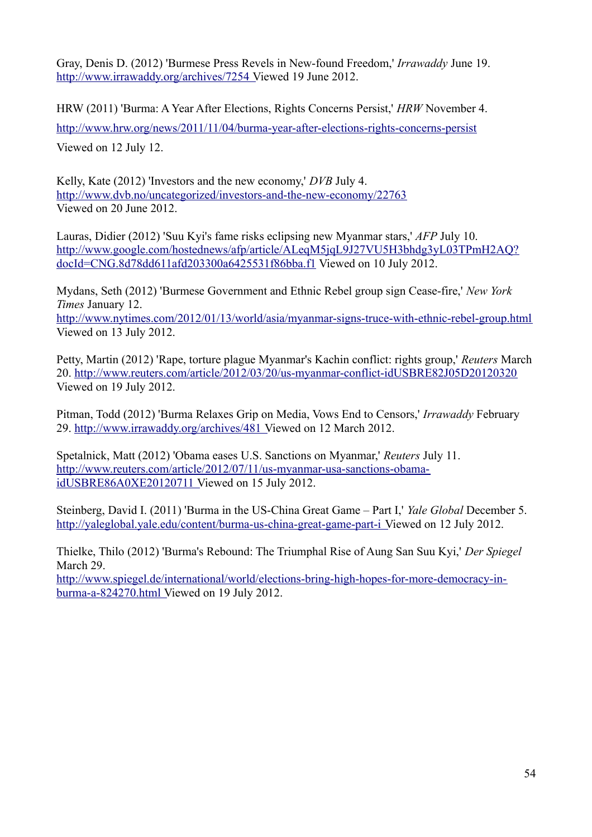Gray, Denis D. (2012) 'Burmese Press Revels in New-found Freedom,' *Irrawaddy* June 19. <http://www.irrawaddy.org/archives/7254>Viewed 19 June 2012.

HRW (2011) 'Burma: A Year After Elections, Rights Concerns Persist,' *HRW* November 4. <http://www.hrw.org/news/2011/11/04/burma-year-after-elections-rights-concerns-persist> Viewed on 12 July 12.

Kelly, Kate (2012) 'Investors and the new economy,' *DVB* July 4. <http://www.dvb.no/uncategorized/investors-and-the-new-economy/22763> Viewed on 20 June 2012.

Lauras, Didier (2012) 'Suu Kyi's fame risks eclipsing new Myanmar stars,' *AFP* July 10. [http://www.google.com/hostednews/afp/article/ALeqM5jqL9J27VU5H3bhdg3yL03TPmH2AQ?](http://www.google.com/hostednews/afp/article/ALeqM5jqL9J27VU5H3bhdg3yL03TPmH2AQ?docId=CNG.8d78dd611afd203300a6425531f86bba.f1) [docId=CNG.8d78dd611afd203300a6425531f86bba.f1](http://www.google.com/hostednews/afp/article/ALeqM5jqL9J27VU5H3bhdg3yL03TPmH2AQ?docId=CNG.8d78dd611afd203300a6425531f86bba.f1) Viewed on 10 July 2012.

Mydans, Seth (2012) 'Burmese Government and Ethnic Rebel group sign Cease-fire,' *New York Times* January 12. <http://www.nytimes.com/2012/01/13/world/asia/myanmar-signs-truce-with-ethnic-rebel-group.html> Viewed on 13 July 2012.

Petty, Martin (2012) 'Rape, torture plague Myanmar's Kachin conflict: rights group,' *Reuters* March 20.<http://www.reuters.com/article/2012/03/20/us-myanmar-conflict-idUSBRE82J05D20120320> Viewed on 19 July 2012.

Pitman, Todd (2012) 'Burma Relaxes Grip on Media, Vows End to Censors,' *Irrawaddy* February 29.<http://www.irrawaddy.org/archives/481>Viewed on 12 March 2012.

Spetalnick, Matt (2012) 'Obama eases U.S. Sanctions on Myanmar,' *Reuters* July 11. [http://www.reuters.com/article/2012/07/11/us-myanmar-usa-sanctions-obama](http://www.reuters.com/article/2012/07/11/us-myanmar-usa-sanctions-obama-idUSBRE86A0XE20120711)  [idUSBRE86A0XE20120711](http://www.reuters.com/article/2012/07/11/us-myanmar-usa-sanctions-obama-idUSBRE86A0XE20120711) Viewed on 15 July 2012.

Steinberg, David I. (2011) 'Burma in the US-China Great Game – Part I,' *Yale Global* December 5. <http://yaleglobal.yale.edu/content/burma-us-china-great-game-part-i>Viewed on 12 July 2012.

Thielke, Thilo (2012) 'Burma's Rebound: The Triumphal Rise of Aung San Suu Kyi,' *Der Spiegel* March 29.

[http://www.spiegel.de/international/world/elections-bring-high-hopes-for-more-democracy-in](http://www.spiegel.de/international/world/elections-bring-high-hopes-for-more-democracy-in-burma-a-824270.html)  [burma-a-824270.html](http://www.spiegel.de/international/world/elections-bring-high-hopes-for-more-democracy-in-burma-a-824270.html) Viewed on 19 July 2012.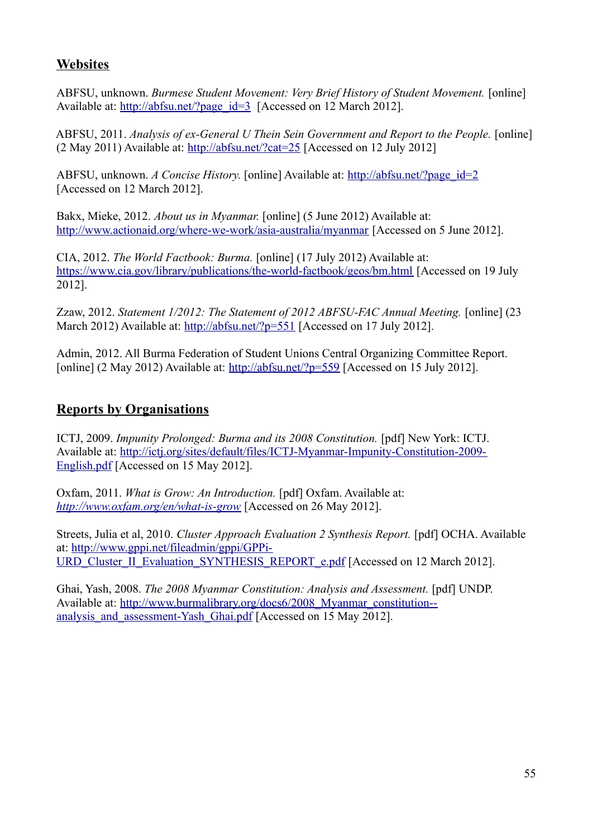### **Websites**

ABFSU, unknown. *Burmese Student Movement: Very Brief History of Student Movement.* [online] Available at: [http://abfsu.net/?page\\_id=3](http://abfsu.net/?page_id=3) [Accessed on 12 March 2012].

ABFSU, 2011. *Analysis of ex-General U Thein Sein Government and Report to the People.* [online] (2 May 2011) Available at:<http://abfsu.net/?cat=25>[Accessed on 12 July 2012]

ABFSU, unknown. *A Concise History*. [online] Available at: [http://abfsu.net/?page\\_id=2](http://abfsu.net/?page_id=2) [Accessed on 12 March 2012].

Bakx, Mieke, 2012. *About us in Myanmar.* [online] (5 June 2012) Available at: <http://www.actionaid.org/where-we-work/asia-australia/myanmar>[Accessed on 5 June 2012].

CIA, 2012. *The World Factbook: Burma.* [online] (17 July 2012) Available at: <https://www.cia.gov/library/publications/the-world-factbook/geos/bm.html>[Accessed on 19 July 2012].

Zzaw, 2012. *Statement 1/2012: The Statement of 2012 ABFSU-FAC Annual Meeting.* [online] (23 March 2012) Available at: <http://abfsu.net/?p=551> [Accessed on 17 July 2012].

Admin, 2012. All Burma Federation of Student Unions Central Organizing Committee Report. [online] (2 May 2012) Available at:<http://abfsu.net/?p=559> [Accessed on 15 July 2012].

### **Reports by Organisations**

ICTJ, 2009. *Impunity Prolonged: Burma and its 2008 Constitution.* [pdf] New York: ICTJ. Available at: [http://ictj.org/sites/default/files/ICTJ-Myanmar-Impunity-Constitution-2009-](http://ictj.org/sites/default/files/ICTJ-Myanmar-Impunity-Constitution-2009-English.pdf) [English.pdf](http://ictj.org/sites/default/files/ICTJ-Myanmar-Impunity-Constitution-2009-English.pdf) [Accessed on 15 May 2012].

Oxfam, 2011. *What is Grow: An Introduction.* [pdf] Oxfam. Available at: *<http://www.oxfam.org/en/what-is-grow>* [Accessed on 26 May 2012].

Streets, Julia et al, 2010. *Cluster Approach Evaluation 2 Synthesis Report.* [pdf] OCHA. Available at: [http://www.gppi.net/fileadmin/gppi/GPPi-](http://www.gppi.net/fileadmin/gppi/GPPi-URD_Cluster_II_Evaluation_SYNTHESIS_REPORT_e.pdf)[URD\\_Cluster\\_II\\_Evaluation\\_SYNTHESIS\\_REPORT\\_e.pdf](http://www.gppi.net/fileadmin/gppi/GPPi-URD_Cluster_II_Evaluation_SYNTHESIS_REPORT_e.pdf) [Accessed on 12 March 2012].

Ghai, Yash, 2008. *The 2008 Myanmar Constitution: Analysis and Assessment.* [pdf] UNDP. Available at: [http://www.burmalibrary.org/docs6/2008\\_Myanmar\\_constitution-](http://www.burmalibrary.org/docs6/2008_Myanmar_constitution--analysis_and_assessment-Yash_Ghai.pdf) [analysis\\_and\\_assessment-Yash\\_Ghai.pdf](http://www.burmalibrary.org/docs6/2008_Myanmar_constitution--analysis_and_assessment-Yash_Ghai.pdf) [Accessed on 15 May 2012].